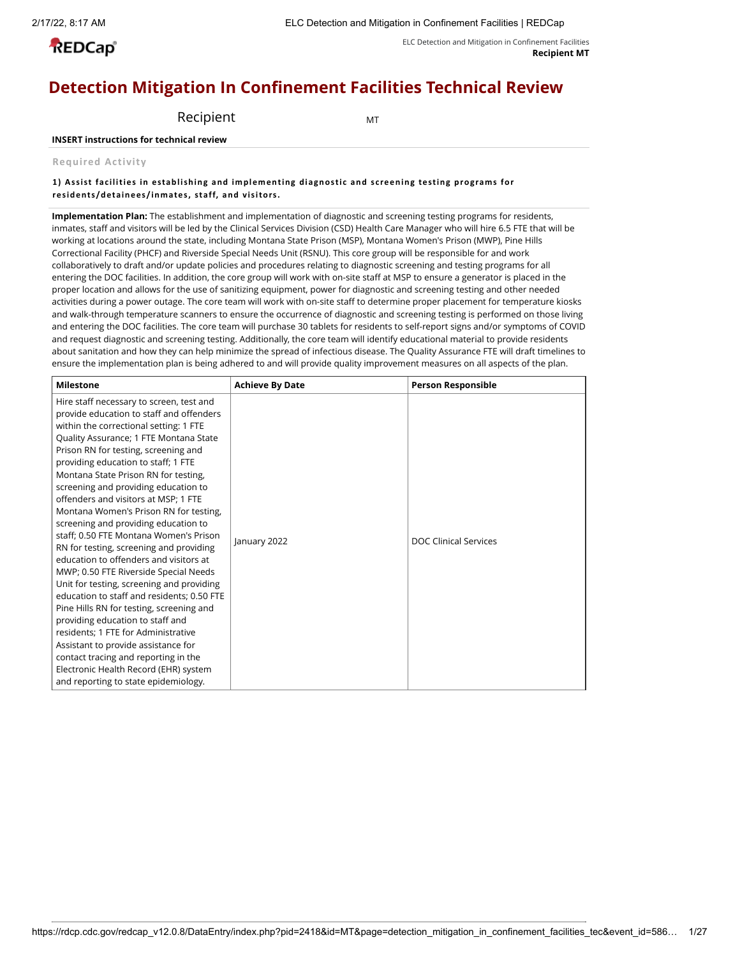**REDCap**<sup>®</sup>

#### ELC Detection and Mitigation in Confinement Facilities **Recipient MT**

# **Detection Mitigation In Confinement Facilities Technical Review**

Recipient MT

# **INSERT instructions for technical review**

# **Required Activity**

# **1) Assist fac ilities in establishing and implementing diagnosti c and s c reening testing programs for residents /detainees / inmates, staff, and visitors.**

**Implementation Plan:** The establishment and implementation of diagnostic and screening testing programs for residents, inmates, staff and visitors will be led by the Clinical Services Division (CSD) Health Care Manager who will hire 6.5 FTE that will be working at locations around the state, including Montana State Prison (MSP), Montana Women's Prison (MWP), Pine Hills Correctional Facility (PHCF) and Riverside Special Needs Unit (RSNU). This core group will be responsible for and work collaboratively to draft and/or update policies and procedures relating to diagnostic screening and testing programs for all entering the DOC facilities. In addition, the core group will work with on-site staff at MSP to ensure a generator is placed in the proper location and allows for the use of sanitizing equipment, power for diagnostic and screening testing and other needed activities during a power outage. The core team will work with on-site staff to determine proper placement for temperature kiosks and walk-through temperature scanners to ensure the occurrence of diagnostic and screening testing is performed on those living and entering the DOC facilities. The core team will purchase 30 tablets for residents to self-report signs and/or symptoms of COVID and request diagnostic and screening testing. Additionally, the core team will identify educational material to provide residents about sanitation and how they can help minimize the spread of infectious disease. The Quality Assurance FTE will draft timelines to ensure the implementation plan is being adhered to and will provide quality improvement measures on all aspects of the plan.

| <b>Milestone</b>                                                                                                                                                                                                                                                                                                                                                                                                                                                                                                                                                                                                                                                                                                                                                                                                                                                                                                                                                                                                            | <b>Achieve By Date</b> | <b>Person Responsible</b> |
|-----------------------------------------------------------------------------------------------------------------------------------------------------------------------------------------------------------------------------------------------------------------------------------------------------------------------------------------------------------------------------------------------------------------------------------------------------------------------------------------------------------------------------------------------------------------------------------------------------------------------------------------------------------------------------------------------------------------------------------------------------------------------------------------------------------------------------------------------------------------------------------------------------------------------------------------------------------------------------------------------------------------------------|------------------------|---------------------------|
| Hire staff necessary to screen, test and<br>provide education to staff and offenders<br>within the correctional setting: 1 FTE<br>Quality Assurance; 1 FTE Montana State<br>Prison RN for testing, screening and<br>providing education to staff; 1 FTE<br>Montana State Prison RN for testing,<br>screening and providing education to<br>offenders and visitors at MSP; 1 FTE<br>Montana Women's Prison RN for testing,<br>screening and providing education to<br>staff; 0.50 FTE Montana Women's Prison<br>RN for testing, screening and providing<br>education to offenders and visitors at<br>MWP; 0.50 FTE Riverside Special Needs<br>Unit for testing, screening and providing<br>education to staff and residents; 0.50 FTE<br>Pine Hills RN for testing, screening and<br>providing education to staff and<br>residents; 1 FTE for Administrative<br>Assistant to provide assistance for<br>contact tracing and reporting in the<br>Electronic Health Record (EHR) system<br>and reporting to state epidemiology. | January 2022           | DOC Clinical Services     |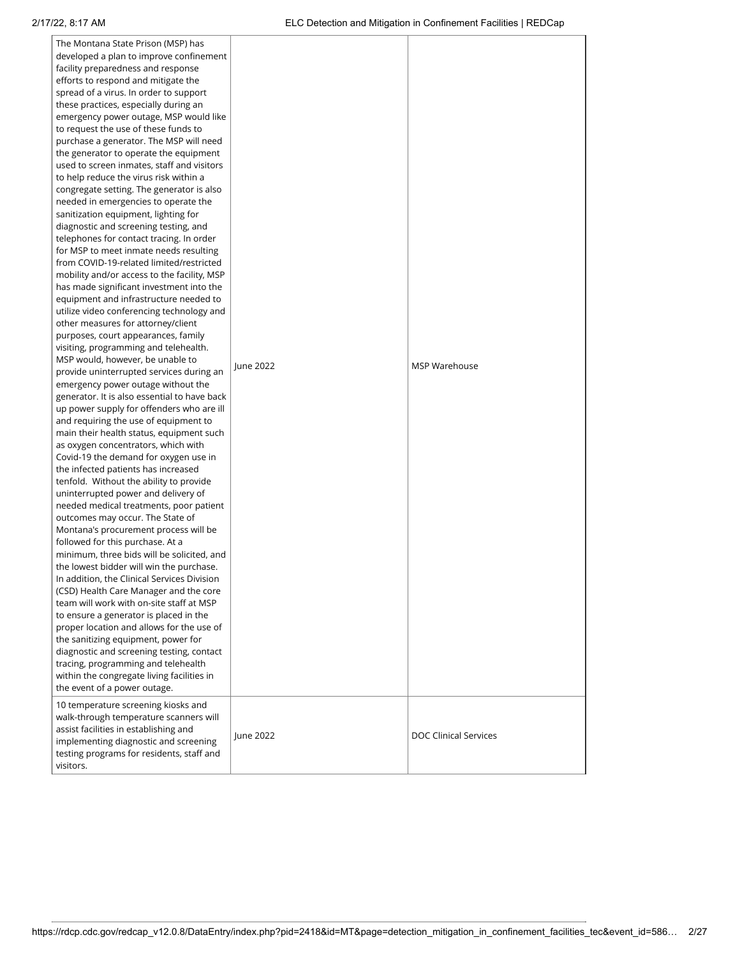| The Montana State Prison (MSP) has<br>developed a plan to improve confinement<br>facility preparedness and response<br>efforts to respond and mitigate the<br>spread of a virus. In order to support<br>these practices, especially during an<br>emergency power outage, MSP would like<br>to request the use of these funds to<br>purchase a generator. The MSP will need<br>the generator to operate the equipment<br>used to screen inmates, staff and visitors<br>to help reduce the virus risk within a<br>congregate setting. The generator is also<br>needed in emergencies to operate the<br>sanitization equipment, lighting for<br>diagnostic and screening testing, and<br>telephones for contact tracing. In order<br>for MSP to meet inmate needs resulting<br>from COVID-19-related limited/restricted<br>mobility and/or access to the facility, MSP<br>has made significant investment into the<br>equipment and infrastructure needed to<br>utilize video conferencing technology and<br>other measures for attorney/client<br>purposes, court appearances, family<br>visiting, programming and telehealth.<br>MSP would, however, be unable to<br>provide uninterrupted services during an<br>emergency power outage without the<br>generator. It is also essential to have back<br>up power supply for offenders who are ill<br>and requiring the use of equipment to<br>main their health status, equipment such<br>as oxygen concentrators, which with<br>Covid-19 the demand for oxygen use in<br>the infected patients has increased<br>tenfold. Without the ability to provide<br>uninterrupted power and delivery of<br>needed medical treatments, poor patient<br>outcomes may occur. The State of<br>Montana's procurement process will be<br>followed for this purchase. At a<br>minimum, three bids will be solicited, and<br>the lowest bidder will win the purchase.<br>In addition, the Clinical Services Division<br>(CSD) Health Care Manager and the core<br>team will work with on-site staff at MSP<br>to ensure a generator is placed in the<br>proper location and allows for the use of<br>the sanitizing equipment, power for<br>diagnostic and screening testing, contact<br>tracing, programming and telehealth<br>within the congregate living facilities in<br>the event of a power outage. | June 2022 | MSP Warehouse                |
|------------------------------------------------------------------------------------------------------------------------------------------------------------------------------------------------------------------------------------------------------------------------------------------------------------------------------------------------------------------------------------------------------------------------------------------------------------------------------------------------------------------------------------------------------------------------------------------------------------------------------------------------------------------------------------------------------------------------------------------------------------------------------------------------------------------------------------------------------------------------------------------------------------------------------------------------------------------------------------------------------------------------------------------------------------------------------------------------------------------------------------------------------------------------------------------------------------------------------------------------------------------------------------------------------------------------------------------------------------------------------------------------------------------------------------------------------------------------------------------------------------------------------------------------------------------------------------------------------------------------------------------------------------------------------------------------------------------------------------------------------------------------------------------------------------------------------------------------------------------------------------------------------------------------------------------------------------------------------------------------------------------------------------------------------------------------------------------------------------------------------------------------------------------------------------------------------------------------------------------------------------------------------------------------------------------------------------------|-----------|------------------------------|
| 10 temperature screening kiosks and<br>walk-through temperature scanners will<br>assist facilities in establishing and<br>implementing diagnostic and screening<br>testing programs for residents, staff and<br>visitors.                                                                                                                                                                                                                                                                                                                                                                                                                                                                                                                                                                                                                                                                                                                                                                                                                                                                                                                                                                                                                                                                                                                                                                                                                                                                                                                                                                                                                                                                                                                                                                                                                                                                                                                                                                                                                                                                                                                                                                                                                                                                                                                | June 2022 | <b>DOC Clinical Services</b> |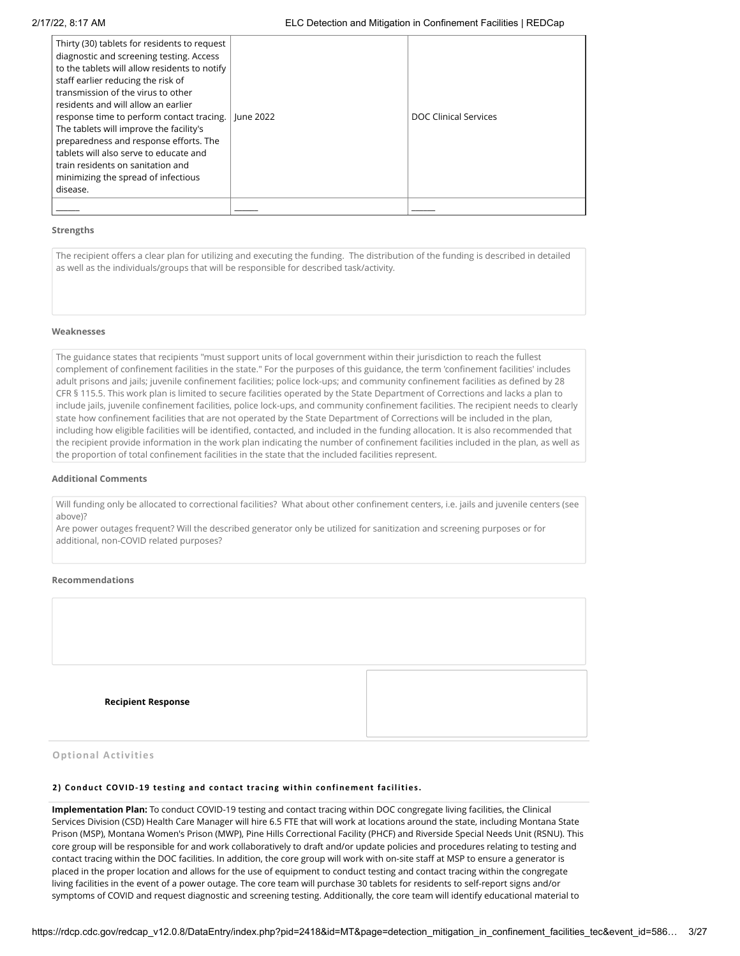| Thirty (30) tablets for residents to request<br>diagnostic and screening testing. Access<br>to the tablets will allow residents to notify<br>staff earlier reducing the risk of<br>transmission of the virus to other<br>residents and will allow an earlier<br>response time to perform contact tracing.<br>The tablets will improve the facility's<br>preparedness and response efforts. The<br>tablets will also serve to educate and<br>train residents on sanitation and<br>minimizing the spread of infectious<br>disease. | lune 2022 | DOC Clinical Services |
|----------------------------------------------------------------------------------------------------------------------------------------------------------------------------------------------------------------------------------------------------------------------------------------------------------------------------------------------------------------------------------------------------------------------------------------------------------------------------------------------------------------------------------|-----------|-----------------------|
|                                                                                                                                                                                                                                                                                                                                                                                                                                                                                                                                  |           |                       |

#### **Weaknesses**

#### **Additional Comments**

#### **Recommendations**

| Strengths                                                                                           |                                                                                                                                                                                                                                                                                                                                                                                                                                                                                                                                                                                                                                                                                                                                                                                                                                                                                                                                                                                                                                                                                                  |
|-----------------------------------------------------------------------------------------------------|--------------------------------------------------------------------------------------------------------------------------------------------------------------------------------------------------------------------------------------------------------------------------------------------------------------------------------------------------------------------------------------------------------------------------------------------------------------------------------------------------------------------------------------------------------------------------------------------------------------------------------------------------------------------------------------------------------------------------------------------------------------------------------------------------------------------------------------------------------------------------------------------------------------------------------------------------------------------------------------------------------------------------------------------------------------------------------------------------|
| as well as the individuals/groups that will be responsible for described task/activity.             | The recipient offers a clear plan for utilizing and executing the funding. The distribution of the funding is described in detailed                                                                                                                                                                                                                                                                                                                                                                                                                                                                                                                                                                                                                                                                                                                                                                                                                                                                                                                                                              |
| Weaknesses                                                                                          |                                                                                                                                                                                                                                                                                                                                                                                                                                                                                                                                                                                                                                                                                                                                                                                                                                                                                                                                                                                                                                                                                                  |
| the proportion of total confinement facilities in the state that the included facilities represent. | The guidance states that recipients "must support units of local government within their jurisdiction to reach the fullest<br>complement of confinement facilities in the state." For the purposes of this guidance, the term 'confinement facilities' includes<br>adult prisons and jails; juvenile confinement facilities; police lock-ups; and community confinement facilities as defined by 28<br>CFR § 115.5. This work plan is limited to secure facilities operated by the State Department of Corrections and lacks a plan to<br>include jails, juvenile confinement facilities, police lock-ups, and community confinement facilities. The recipient needs to clearly<br>state how confinement facilities that are not operated by the State Department of Corrections will be included in the plan,<br>including how eligible facilities will be identified, contacted, and included in the funding allocation. It is also recommended that<br>the recipient provide information in the work plan indicating the number of confinement facilities included in the plan, as well as    |
| <b>Additional Comments</b>                                                                          |                                                                                                                                                                                                                                                                                                                                                                                                                                                                                                                                                                                                                                                                                                                                                                                                                                                                                                                                                                                                                                                                                                  |
| above)?<br>additional, non-COVID related purposes?                                                  | Will funding only be allocated to correctional facilities? What about other confinement centers, i.e. jails and juvenile centers (see<br>Are power outages frequent? Will the described generator only be utilized for sanitization and screening purposes or for                                                                                                                                                                                                                                                                                                                                                                                                                                                                                                                                                                                                                                                                                                                                                                                                                                |
| Recommendations                                                                                     |                                                                                                                                                                                                                                                                                                                                                                                                                                                                                                                                                                                                                                                                                                                                                                                                                                                                                                                                                                                                                                                                                                  |
| <b>Recipient Response</b>                                                                           |                                                                                                                                                                                                                                                                                                                                                                                                                                                                                                                                                                                                                                                                                                                                                                                                                                                                                                                                                                                                                                                                                                  |
| <b>Optional Activities</b>                                                                          |                                                                                                                                                                                                                                                                                                                                                                                                                                                                                                                                                                                                                                                                                                                                                                                                                                                                                                                                                                                                                                                                                                  |
| 2) Conduct COVID-19 testing and contact tracing within confinement facilities.                      |                                                                                                                                                                                                                                                                                                                                                                                                                                                                                                                                                                                                                                                                                                                                                                                                                                                                                                                                                                                                                                                                                                  |
|                                                                                                     | Implementation Plan: To conduct COVID-19 testing and contact tracing within DOC congregate living facilities, the Clinical<br>Services Division (CSD) Health Care Manager will hire 6.5 FTE that will work at locations around the state, including Montana State<br>Prison (MSP), Montana Women's Prison (MWP), Pine Hills Correctional Facility (PHCF) and Riverside Special Needs Unit (RSNU). This<br>core group will be responsible for and work collaboratively to draft and/or update policies and procedures relating to testing and<br>contact tracing within the DOC facilities. In addition, the core group will work with on-site staff at MSP to ensure a generator is<br>placed in the proper location and allows for the use of equipment to conduct testing and contact tracing within the congregate<br>living facilities in the event of a power outage. The core team will purchase 30 tablets for residents to self-report signs and/or<br>symptoms of COVID and request diagnostic and screening testing. Additionally, the core team will identify educational material to |

# **Optional Activities**

#### **2) Conduc t COVID-19 testing and contac t trac ing within confinement fac ilities.**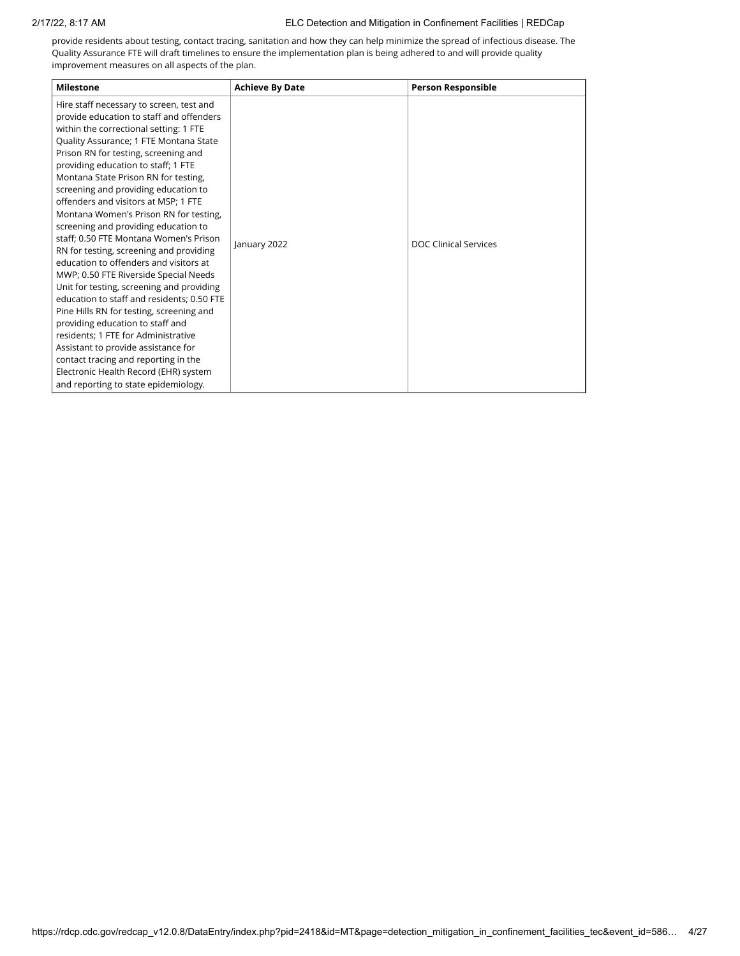provide residents about testing, contact tracing, sanitation and how they can help minimize the spread of infectious disease. The Quality Assurance FTE will draft timelines to ensure the implementation plan is being adhered to and will provide quality improvement measures on all aspects of the plan.

| <b>Milestone</b>                                                                                                                                                                                                                                                                                                                                                                                                                                                                                                                                                                                                                                                                                                                                                                                                                                                                                                                                                                                                            | <b>Achieve By Date</b> | <b>Person Responsible</b>    |
|-----------------------------------------------------------------------------------------------------------------------------------------------------------------------------------------------------------------------------------------------------------------------------------------------------------------------------------------------------------------------------------------------------------------------------------------------------------------------------------------------------------------------------------------------------------------------------------------------------------------------------------------------------------------------------------------------------------------------------------------------------------------------------------------------------------------------------------------------------------------------------------------------------------------------------------------------------------------------------------------------------------------------------|------------------------|------------------------------|
| Hire staff necessary to screen, test and<br>provide education to staff and offenders<br>within the correctional setting: 1 FTE<br>Quality Assurance; 1 FTE Montana State<br>Prison RN for testing, screening and<br>providing education to staff; 1 FTE<br>Montana State Prison RN for testing,<br>screening and providing education to<br>offenders and visitors at MSP; 1 FTE<br>Montana Women's Prison RN for testing,<br>screening and providing education to<br>staff; 0.50 FTE Montana Women's Prison<br>RN for testing, screening and providing<br>education to offenders and visitors at<br>MWP; 0.50 FTE Riverside Special Needs<br>Unit for testing, screening and providing<br>education to staff and residents; 0.50 FTE<br>Pine Hills RN for testing, screening and<br>providing education to staff and<br>residents; 1 FTE for Administrative<br>Assistant to provide assistance for<br>contact tracing and reporting in the<br>Electronic Health Record (EHR) system<br>and reporting to state epidemiology. | January 2022           | <b>DOC Clinical Services</b> |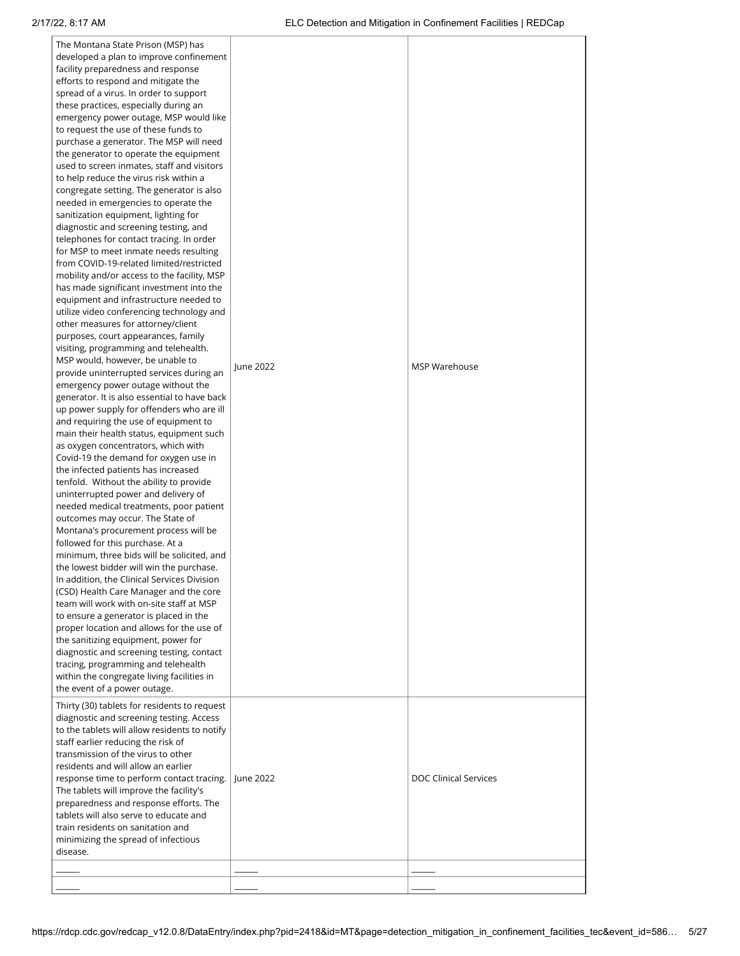| The Montana State Prison (MSP) has<br>developed a plan to improve confinement<br>facility preparedness and response<br>efforts to respond and mitigate the<br>spread of a virus. In order to support<br>these practices, especially during an<br>emergency power outage, MSP would like<br>to request the use of these funds to<br>purchase a generator. The MSP will need<br>the generator to operate the equipment<br>used to screen inmates, staff and visitors<br>to help reduce the virus risk within a<br>congregate setting. The generator is also<br>needed in emergencies to operate the<br>sanitization equipment, lighting for<br>diagnostic and screening testing, and<br>telephones for contact tracing. In order<br>for MSP to meet inmate needs resulting<br>from COVID-19-related limited/restricted<br>mobility and/or access to the facility, MSP<br>has made significant investment into the<br>equipment and infrastructure needed to<br>utilize video conferencing technology and<br>other measures for attorney/client<br>purposes, court appearances, family<br>visiting, programming and telehealth.<br>MSP would, however, be unable to<br>provide uninterrupted services during an<br>emergency power outage without the<br>generator. It is also essential to have back<br>up power supply for offenders who are ill<br>and requiring the use of equipment to<br>main their health status, equipment such<br>as oxygen concentrators, which with<br>Covid-19 the demand for oxygen use in<br>the infected patients has increased<br>tenfold. Without the ability to provide<br>uninterrupted power and delivery of<br>needed medical treatments, poor patient<br>outcomes may occur. The State of<br>Montana's procurement process will be<br>followed for this purchase. At a<br>minimum, three bids will be solicited, and<br>the lowest bidder will win the purchase.<br>In addition, the Clinical Services Division<br>(CSD) Health Care Manager and the core<br>team will work with on-site staff at MSP<br>to ensure a generator is placed in the<br>proper location and allows for the use of<br>the sanitizing equipment, power for<br>diagnostic and screening testing, contact<br>tracing, programming and telehealth<br>within the congregate living facilities in<br>the event of a power outage. | June 2022 | MSP Warehouse                |
|------------------------------------------------------------------------------------------------------------------------------------------------------------------------------------------------------------------------------------------------------------------------------------------------------------------------------------------------------------------------------------------------------------------------------------------------------------------------------------------------------------------------------------------------------------------------------------------------------------------------------------------------------------------------------------------------------------------------------------------------------------------------------------------------------------------------------------------------------------------------------------------------------------------------------------------------------------------------------------------------------------------------------------------------------------------------------------------------------------------------------------------------------------------------------------------------------------------------------------------------------------------------------------------------------------------------------------------------------------------------------------------------------------------------------------------------------------------------------------------------------------------------------------------------------------------------------------------------------------------------------------------------------------------------------------------------------------------------------------------------------------------------------------------------------------------------------------------------------------------------------------------------------------------------------------------------------------------------------------------------------------------------------------------------------------------------------------------------------------------------------------------------------------------------------------------------------------------------------------------------------------------------------------------------------------------------------------------|-----------|------------------------------|
| Thirty (30) tablets for residents to request<br>diagnostic and screening testing. Access<br>to the tablets will allow residents to notify<br>staff earlier reducing the risk of<br>transmission of the virus to other<br>residents and will allow an earlier<br>response time to perform contact tracing.<br>The tablets will improve the facility's<br>preparedness and response efforts. The<br>tablets will also serve to educate and<br>train residents on sanitation and<br>minimizing the spread of infectious<br>disease.                                                                                                                                                                                                                                                                                                                                                                                                                                                                                                                                                                                                                                                                                                                                                                                                                                                                                                                                                                                                                                                                                                                                                                                                                                                                                                                                                                                                                                                                                                                                                                                                                                                                                                                                                                                                         | June 2022 | <b>DOC Clinical Services</b> |
|                                                                                                                                                                                                                                                                                                                                                                                                                                                                                                                                                                                                                                                                                                                                                                                                                                                                                                                                                                                                                                                                                                                                                                                                                                                                                                                                                                                                                                                                                                                                                                                                                                                                                                                                                                                                                                                                                                                                                                                                                                                                                                                                                                                                                                                                                                                                          |           |                              |
|                                                                                                                                                                                                                                                                                                                                                                                                                                                                                                                                                                                                                                                                                                                                                                                                                                                                                                                                                                                                                                                                                                                                                                                                                                                                                                                                                                                                                                                                                                                                                                                                                                                                                                                                                                                                                                                                                                                                                                                                                                                                                                                                                                                                                                                                                                                                          |           |                              |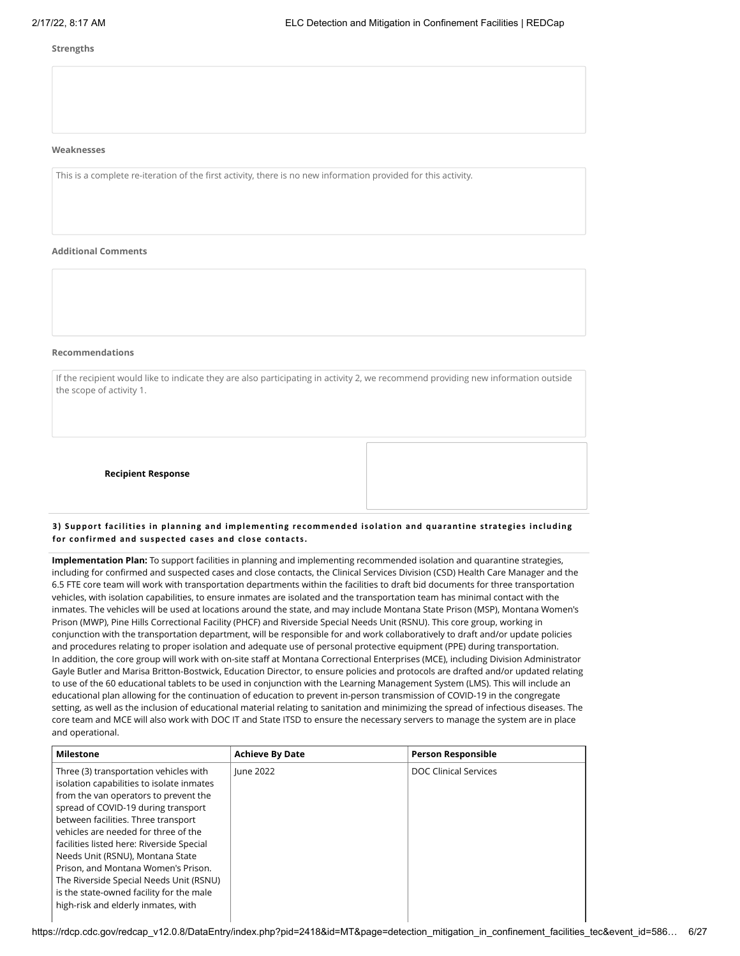### **Weaknesses**

#### **Additional Comments**

### **Recommendations**

If the recipient would like to indicate they are also participating in activity 2, we recommend providing new information outside the scope of activity 1.

**Recipient Response**

### **3) Support fac ilities in planning and implementing recommended isolation and quarantine strategies inc luding for confirmed and suspec ted cases and c lose contac ts.**

**Implementation Plan:** To support facilities in planning and implementing recommended isolation and quarantine strategies, including for confirmed and suspected cases and close contacts, the Clinical Services Division (CSD) Health Care Manager and the 6.5 FTE core team will work with transportation departments within the facilities to draft bid documents for three transportation vehicles, with isolation capabilities, to ensure inmates are isolated and the transportation team has minimal contact with the inmates. The vehicles will be used at locations around the state, and may include Montana State Prison (MSP), Montana Women's Prison (MWP), Pine Hills Correctional Facility (PHCF) and Riverside Special Needs Unit (RSNU). This core group, working in conjunction with the transportation department, will be responsible for and work collaboratively to draft and/or update policies and procedures relating to proper isolation and adequate use of personal protective equipment (PPE) during transportation. In addition, the core group will work with on-site staff at Montana Correctional Enterprises (MCE), including Division Administrator Gayle Butler and Marisa Britton-Bostwick, Education Director, to ensure policies and protocols are drafted and/or updated relating to use of the 60 educational tablets to be used in conjunction with the Learning Management System (LMS). This will include an educational plan allowing for the continuation of education to prevent in-person transmission of COVID-19 in the congregate setting, as well as the inclusion of educational material relating to sanitation and minimizing the spread of infectious diseases. The core team and MCE will also work with DOC IT and State ITSD to ensure the necessary servers to manage the system are in place and operational. This is a complete re-interation of the first activity, there is no new information provided for the activity.<br>
This is a complete re-interation of the first activity of the first activity of the first activity of the firs

| <b>Milestone</b>                          | <b>Achieve By Date</b> | <b>Person Responsible</b>    |
|-------------------------------------------|------------------------|------------------------------|
| Three (3) transportation vehicles with    | lune 2022              | <b>DOC Clinical Services</b> |
| isolation capabilities to isolate inmates |                        |                              |
| from the van operators to prevent the     |                        |                              |
| spread of COVID-19 during transport       |                        |                              |
| between facilities. Three transport       |                        |                              |
| vehicles are needed for three of the      |                        |                              |
| facilities listed here: Riverside Special |                        |                              |
| Needs Unit (RSNU), Montana State          |                        |                              |
| Prison, and Montana Women's Prison.       |                        |                              |
| The Riverside Special Needs Unit (RSNU)   |                        |                              |
| is the state-owned facility for the male  |                        |                              |
| high-risk and elderly inmates, with       |                        |                              |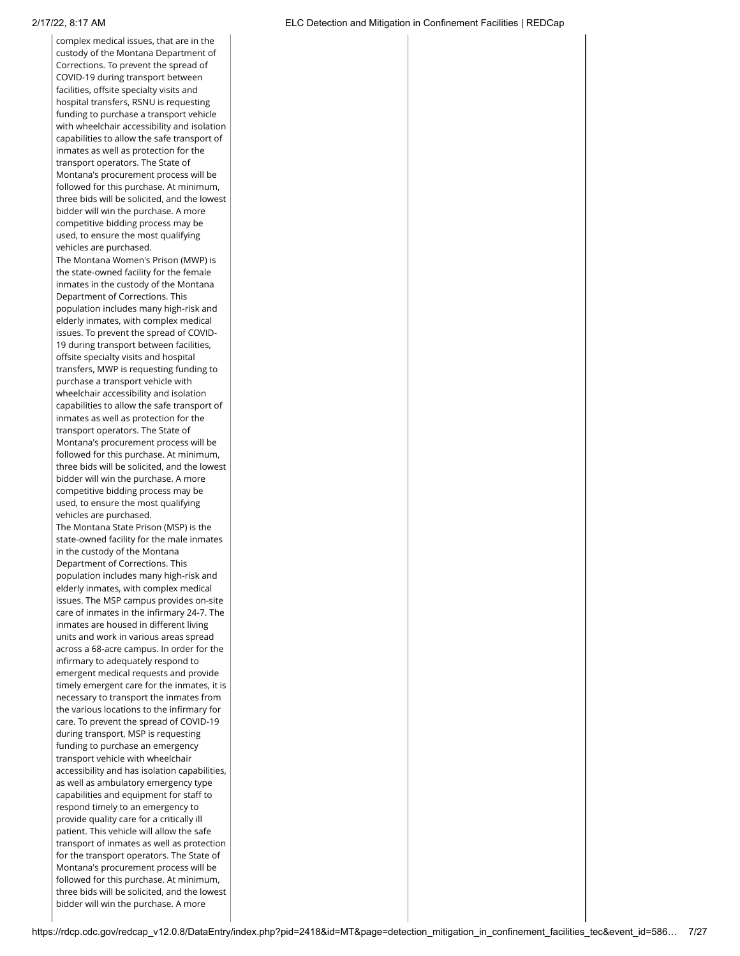complex medical issues, that are in the custody of the Montana Department of Corrections. To prevent the spread of COVID-19 during transport between facilities, offsite specialty visits and hospital transfers, RSNU is requesting funding to purchase a transport vehicle with wheelchair accessibility and isolation capabilities to allow the safe transport of inmates as well as protection for the transport operators. The State of Montana's procurement process will be followed for this purchase. At minimum, three bids will be solicited, and the lowest bidder will win the purchase. A more competitive bidding process may be used, to ensure the most qualifying vehicles are purchased. The Montana Women's Prison (MWP) is the state-owned facility for the female inmates in the custody of the Montana Department of Corrections. This population includes many high-risk and elderly inmates, with complex medical issues. To prevent the spread of COVID-19 during transport between facilities, offsite specialty visits and hospital transfers, MWP is requesting funding to purchase a transport vehicle with wheelchair accessibility and isolation capabilities to allow the safe transport of inmates as well as protection for the transport operators. The State of Montana's procurement process will be followed for this purchase. At minimum, three bids will be solicited, and the lowest bidder will win the purchase. A more competitive bidding process may be used, to ensure the most qualifying vehicles are purchased. The Montana State Prison (MSP) is the state-owned facility for the male inmates in the custody of the Montana Department of Corrections. This population includes many high-risk and elderly inmates, with complex medical issues. The MSP campus provides on-site care of inmates in the infirmary 24-7. The inmates are housed in different living units and work in various areas spread across a 68-acre campus. In order for the infirmary to adequately respond to emergent medical requests and provide timely emergent care for the inmates, it is necessary to transport the inmates from the various locations to the infirmary for care. To prevent the spread of COVID-19 during transport, MSP is requesting funding to purchase an emergency transport vehicle with wheelchair accessibility and has isolation capabilities, as well as ambulatory emergency type capabilities and equipment for staff to respond timely to an emergency to provide quality care for a critically ill patient. This vehicle will allow the safe transport of inmates as well as protection for the transport operators. The State of Montana's procurement process will be followed for this purchase. At minimum, three bids will be solicited, and the lowest bidder will win the purchase. A more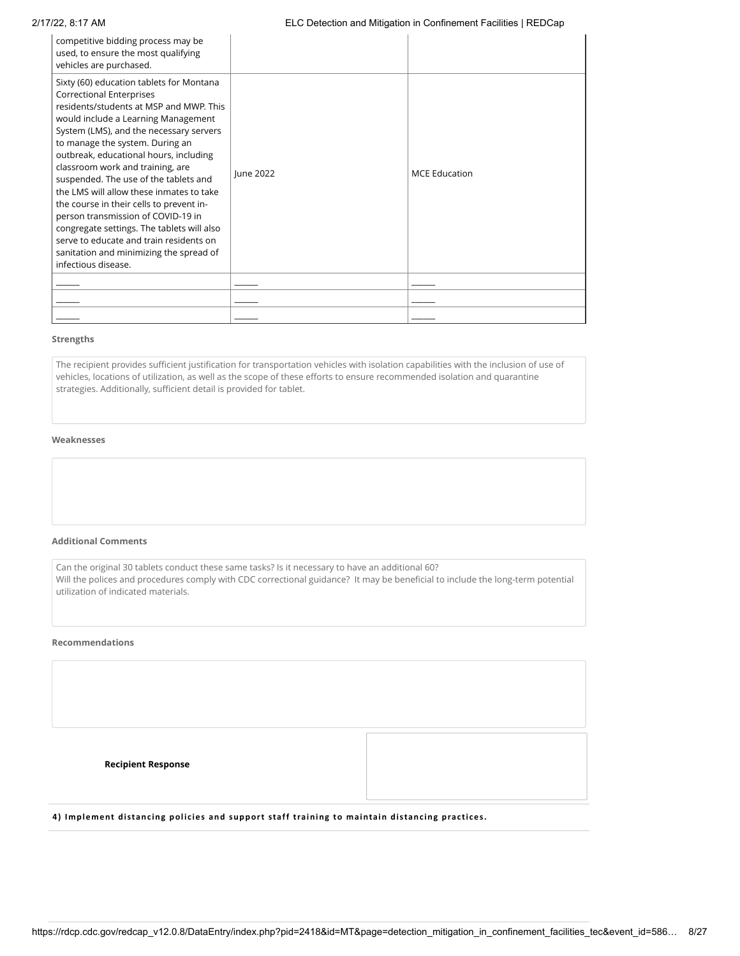# 2/17/22, 8:17 AM ELC Detection and Mitigation in Confinement Facilities | REDCap

| competitive bidding process may be<br>used, to ensure the most qualifying<br>vehicles are purchased.                                                                                                                                                                                                                                                                                                                                                                                                                                                                                                                                                        |           |                      |
|-------------------------------------------------------------------------------------------------------------------------------------------------------------------------------------------------------------------------------------------------------------------------------------------------------------------------------------------------------------------------------------------------------------------------------------------------------------------------------------------------------------------------------------------------------------------------------------------------------------------------------------------------------------|-----------|----------------------|
| Sixty (60) education tablets for Montana<br><b>Correctional Enterprises</b><br>residents/students at MSP and MWP. This<br>would include a Learning Management<br>System (LMS), and the necessary servers<br>to manage the system. During an<br>outbreak, educational hours, including<br>classroom work and training, are<br>suspended. The use of the tablets and<br>the LMS will allow these inmates to take<br>the course in their cells to prevent in-<br>person transmission of COVID-19 in<br>congregate settings. The tablets will also<br>serve to educate and train residents on<br>sanitation and minimizing the spread of<br>infectious disease. | June 2022 | <b>MCE Education</b> |
|                                                                                                                                                                                                                                                                                                                                                                                                                                                                                                                                                                                                                                                             |           |                      |
|                                                                                                                                                                                                                                                                                                                                                                                                                                                                                                                                                                                                                                                             |           |                      |
|                                                                                                                                                                                                                                                                                                                                                                                                                                                                                                                                                                                                                                                             |           |                      |

# **Strengths**

# **Weaknesses**

#### **Additional Comments**

# **Recommendations**

| The recipient provides sufficient justification for transportation vehicles with isolation capabilities with the inclusion of use of<br>vehicles, locations of utilization, as well as the scope of these efforts to ensure recommended isolation and quarantine<br>strategies. Additionally, sufficient detail is provided for tablet. |
|-----------------------------------------------------------------------------------------------------------------------------------------------------------------------------------------------------------------------------------------------------------------------------------------------------------------------------------------|
| Weaknesses                                                                                                                                                                                                                                                                                                                              |
|                                                                                                                                                                                                                                                                                                                                         |
| <b>Additional Comments</b>                                                                                                                                                                                                                                                                                                              |
| Can the original 30 tablets conduct these same tasks? Is it necessary to have an additional 60?<br>Will the polices and procedures comply with CDC correctional guidance? It may be beneficial to include the long-term potential<br>utilization of indicated materials.                                                                |
| Recommendations                                                                                                                                                                                                                                                                                                                         |
|                                                                                                                                                                                                                                                                                                                                         |
| <b>Recipient Response</b>                                                                                                                                                                                                                                                                                                               |

# 4) Implement distancing policies and support staff training to maintain distancing practices.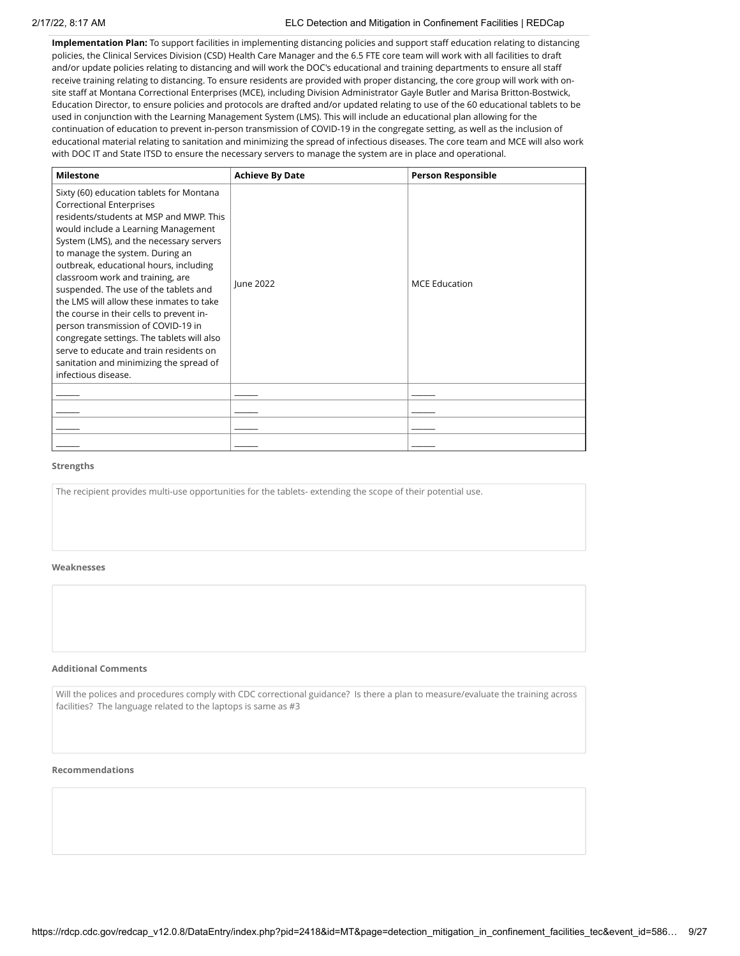### 2/17/22, 8:17 AM ELC Detection and Mitigation in Confinement Facilities | REDCap

**Implementation Plan:** To support facilities in implementing distancing policies and support staff education relating to distancing policies, the Clinical Services Division (CSD) Health Care Manager and the 6.5 FTE core team will work with all facilities to draft and/or update policies relating to distancing and will work the DOC's educational and training departments to ensure all staff receive training relating to distancing. To ensure residents are provided with proper distancing, the core group will work with onsite staff at Montana Correctional Enterprises (MCE), including Division Administrator Gayle Butler and Marisa Britton-Bostwick, Education Director, to ensure policies and protocols are drafted and/or updated relating to use of the 60 educational tablets to be used in conjunction with the Learning Management System (LMS). This will include an educational plan allowing for the continuation of education to prevent in-person transmission of COVID-19 in the congregate setting, as well as the inclusion of educational material relating to sanitation and minimizing the spread of infectious diseases. The core team and MCE will also work with DOC IT and State ITSD to ensure the necessary servers to manage the system are in place and operational.

| <b>Milestone</b>                                                                                                                                                                                                                                                                                                                                                                                                                                                                                                                                                                                                                                            | <b>Achieve By Date</b> | <b>Person Responsible</b> |
|-------------------------------------------------------------------------------------------------------------------------------------------------------------------------------------------------------------------------------------------------------------------------------------------------------------------------------------------------------------------------------------------------------------------------------------------------------------------------------------------------------------------------------------------------------------------------------------------------------------------------------------------------------------|------------------------|---------------------------|
| Sixty (60) education tablets for Montana<br><b>Correctional Enterprises</b><br>residents/students at MSP and MWP. This<br>would include a Learning Management<br>System (LMS), and the necessary servers<br>to manage the system. During an<br>outbreak, educational hours, including<br>classroom work and training, are<br>suspended. The use of the tablets and<br>the LMS will allow these inmates to take<br>the course in their cells to prevent in-<br>person transmission of COVID-19 in<br>congregate settings. The tablets will also<br>serve to educate and train residents on<br>sanitation and minimizing the spread of<br>infectious disease. | June 2022              | <b>MCE Education</b>      |
|                                                                                                                                                                                                                                                                                                                                                                                                                                                                                                                                                                                                                                                             |                        |                           |
|                                                                                                                                                                                                                                                                                                                                                                                                                                                                                                                                                                                                                                                             |                        |                           |
|                                                                                                                                                                                                                                                                                                                                                                                                                                                                                                                                                                                                                                                             |                        |                           |
|                                                                                                                                                                                                                                                                                                                                                                                                                                                                                                                                                                                                                                                             |                        |                           |

#### **Strengths**

The recipient provides multi-use opportunities for the tablets- extending the scope of their potential use.

#### **Weaknesses**

#### **Additional Comments**

Will the polices and procedures comply with CDC correctional guidance? Is there a plan to measure/evaluate the training across facilities? The language related to the laptops is same as #3

#### **Recommendations**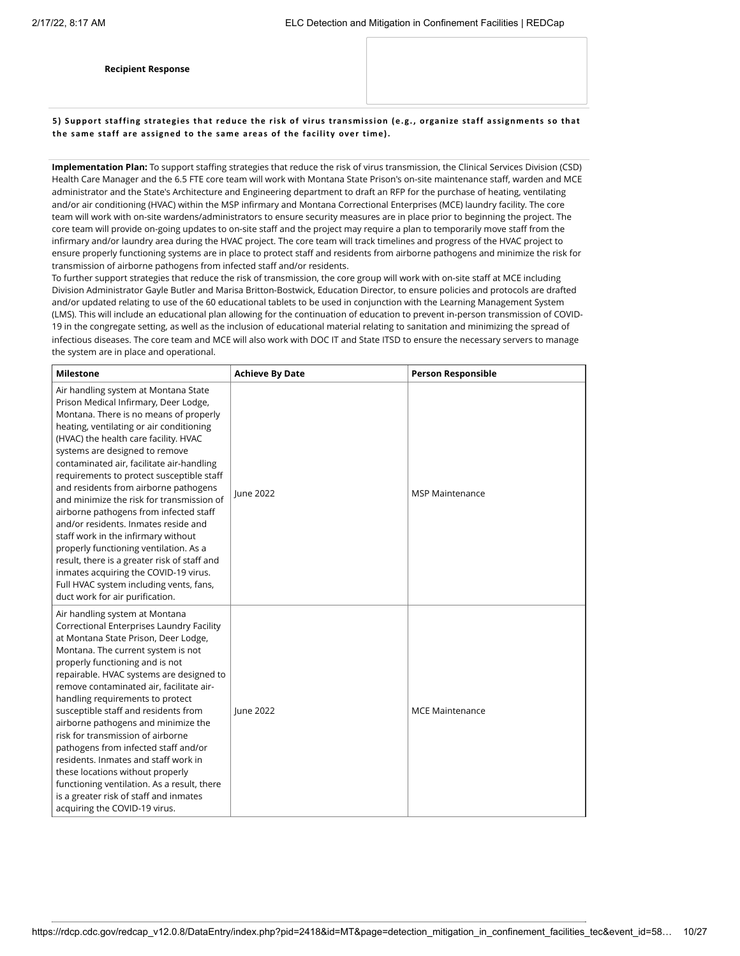**Recipient Response**

5) Support staffing strategies that reduce the risk of virus transmission (e.g., organize staff assignments so that **the same staff are assigned to the same areas of the fac ility over time).**

**Implementation Plan:** To support staffing strategies that reduce the risk of virus transmission, the Clinical Services Division (CSD) Health Care Manager and the 6.5 FTE core team will work with Montana State Prison's on-site maintenance staff, warden and MCE administrator and the State's Architecture and Engineering department to draft an RFP for the purchase of heating, ventilating and/or air conditioning (HVAC) within the MSP infirmary and Montana Correctional Enterprises (MCE) laundry facility. The core team will work with on-site wardens/administrators to ensure security measures are in place prior to beginning the project. The core team will provide on-going updates to on-site staff and the project may require a plan to temporarily move staff from the infirmary and/or laundry area during the HVAC project. The core team will track timelines and progress of the HVAC project to ensure properly functioning systems are in place to protect staff and residents from airborne pathogens and minimize the risk for transmission of airborne pathogens from infected staff and/or residents.

To further support strategies that reduce the risk of transmission, the core group will work with on-site staff at MCE including Division Administrator Gayle Butler and Marisa Britton-Bostwick, Education Director, to ensure policies and protocols are drafted and/or updated relating to use of the 60 educational tablets to be used in conjunction with the Learning Management System (LMS). This will include an educational plan allowing for the continuation of education to prevent in-person transmission of COVID-19 in the congregate setting, as well as the inclusion of educational material relating to sanitation and minimizing the spread of infectious diseases. The core team and MCE will also work with DOC IT and State ITSD to ensure the necessary servers to manage the system are in place and operational.

| <b>Milestone</b>                                                                                                                                                                                                                                                                                                                                                                                                                                                                                                                                                                                                                                                                                                                                                         | <b>Achieve By Date</b> | <b>Person Responsible</b> |
|--------------------------------------------------------------------------------------------------------------------------------------------------------------------------------------------------------------------------------------------------------------------------------------------------------------------------------------------------------------------------------------------------------------------------------------------------------------------------------------------------------------------------------------------------------------------------------------------------------------------------------------------------------------------------------------------------------------------------------------------------------------------------|------------------------|---------------------------|
| Air handling system at Montana State<br>Prison Medical Infirmary, Deer Lodge,<br>Montana. There is no means of properly<br>heating, ventilating or air conditioning<br>(HVAC) the health care facility. HVAC<br>systems are designed to remove<br>contaminated air, facilitate air-handling<br>requirements to protect susceptible staff<br>and residents from airborne pathogens<br>and minimize the risk for transmission of<br>airborne pathogens from infected staff<br>and/or residents. Inmates reside and<br>staff work in the infirmary without<br>properly functioning ventilation. As a<br>result, there is a greater risk of staff and<br>inmates acquiring the COVID-19 virus.<br>Full HVAC system including vents, fans,<br>duct work for air purification. | <b>lune 2022</b>       | <b>MSP Maintenance</b>    |
| Air handling system at Montana<br>Correctional Enterprises Laundry Facility<br>at Montana State Prison, Deer Lodge,<br>Montana. The current system is not<br>properly functioning and is not<br>repairable. HVAC systems are designed to<br>remove contaminated air, facilitate air-<br>handling requirements to protect<br>susceptible staff and residents from<br>airborne pathogens and minimize the<br>risk for transmission of airborne<br>pathogens from infected staff and/or<br>residents. Inmates and staff work in<br>these locations without properly<br>functioning ventilation. As a result, there<br>is a greater risk of staff and inmates<br>acquiring the COVID-19 virus.                                                                               | June 2022              | <b>MCE Maintenance</b>    |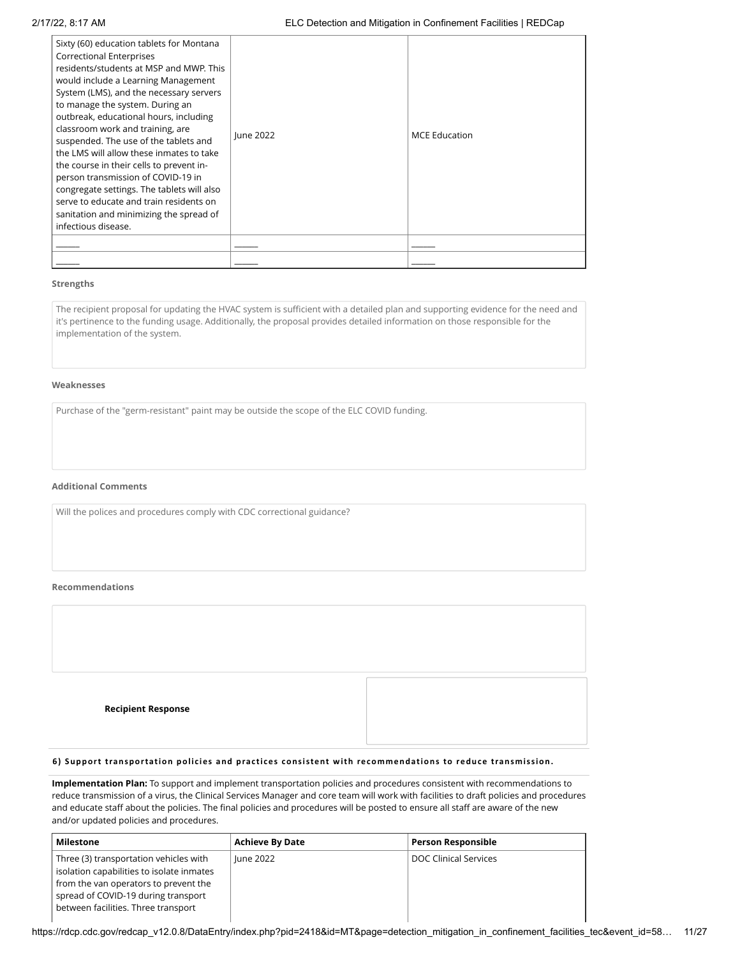| Sixty (60) education tablets for Montana<br><b>Correctional Enterprises</b><br>residents/students at MSP and MWP. This<br>would include a Learning Management<br>System (LMS), and the necessary servers<br>to manage the system. During an<br>outbreak, educational hours, including<br>classroom work and training, are<br>suspended. The use of the tablets and<br>the LMS will allow these inmates to take<br>the course in their cells to prevent in-<br>person transmission of COVID-19 in<br>congregate settings. The tablets will also<br>serve to educate and train residents on<br>sanitation and minimizing the spread of<br>infectious disease. | <b>lune 2022</b> | <b>MCE Education</b> |
|-------------------------------------------------------------------------------------------------------------------------------------------------------------------------------------------------------------------------------------------------------------------------------------------------------------------------------------------------------------------------------------------------------------------------------------------------------------------------------------------------------------------------------------------------------------------------------------------------------------------------------------------------------------|------------------|----------------------|
|                                                                                                                                                                                                                                                                                                                                                                                                                                                                                                                                                                                                                                                             |                  |                      |
|                                                                                                                                                                                                                                                                                                                                                                                                                                                                                                                                                                                                                                                             |                  |                      |

it's pertinence to the funding usage. Additionally, the proposal provides detailed information on those responsible for the implementation of the system.

#### **Weaknesses**

### **Additional Comments**

#### **Recommendations**

| The recipient proposal for updating the HVAC system is sufficient with a detailed plan and supporting evidence for the need and<br>it's pertinence to the funding usage. Additionally, the proposal provides detailed information on those responsible for the<br>implementation of the system. |
|-------------------------------------------------------------------------------------------------------------------------------------------------------------------------------------------------------------------------------------------------------------------------------------------------|
| Weaknesses                                                                                                                                                                                                                                                                                      |
| Purchase of the "germ-resistant" paint may be outside the scope of the ELC COVID funding.                                                                                                                                                                                                       |
|                                                                                                                                                                                                                                                                                                 |
| <b>Additional Comments</b>                                                                                                                                                                                                                                                                      |
| Will the polices and procedures comply with CDC correctional guidance?                                                                                                                                                                                                                          |
|                                                                                                                                                                                                                                                                                                 |
| Recommendations                                                                                                                                                                                                                                                                                 |
|                                                                                                                                                                                                                                                                                                 |
|                                                                                                                                                                                                                                                                                                 |
| <b>Recipient Response</b>                                                                                                                                                                                                                                                                       |
| 6) Support transportation policies and practices consistent with recommendations to reduce transmission.                                                                                                                                                                                        |
|                                                                                                                                                                                                                                                                                                 |

## **6) Support transportation poli c ies and prac ti ces consistent with recommendations to reduce transmission.**

**Implementation Plan:** To support and implement transportation policies and procedures consistent with recommendations to reduce transmission of a virus, the Clinical Services Manager and core team will work with facilities to draft policies and procedures and educate staff about the policies. The final policies and procedures will be posted to ensure all staff are aware of the new and/or updated policies and procedures.

| Milestone                                                                                                                                                                                                  | <b>Achieve By Date</b> | <b>Person Responsible</b> |
|------------------------------------------------------------------------------------------------------------------------------------------------------------------------------------------------------------|------------------------|---------------------------|
| Three (3) transportation vehicles with<br>isolation capabilities to isolate inmates<br>from the van operators to prevent the<br>spread of COVID-19 during transport<br>between facilities. Three transport | June 2022              | DOC Clinical Services     |

https://rdcp.cdc.gov/redcap\_v12.0.8/DataEntry/index.php?pid=2418&id=MT&page=detection\_mitigation\_in\_confinement\_facilities\_tec&event\_id=58... 11/27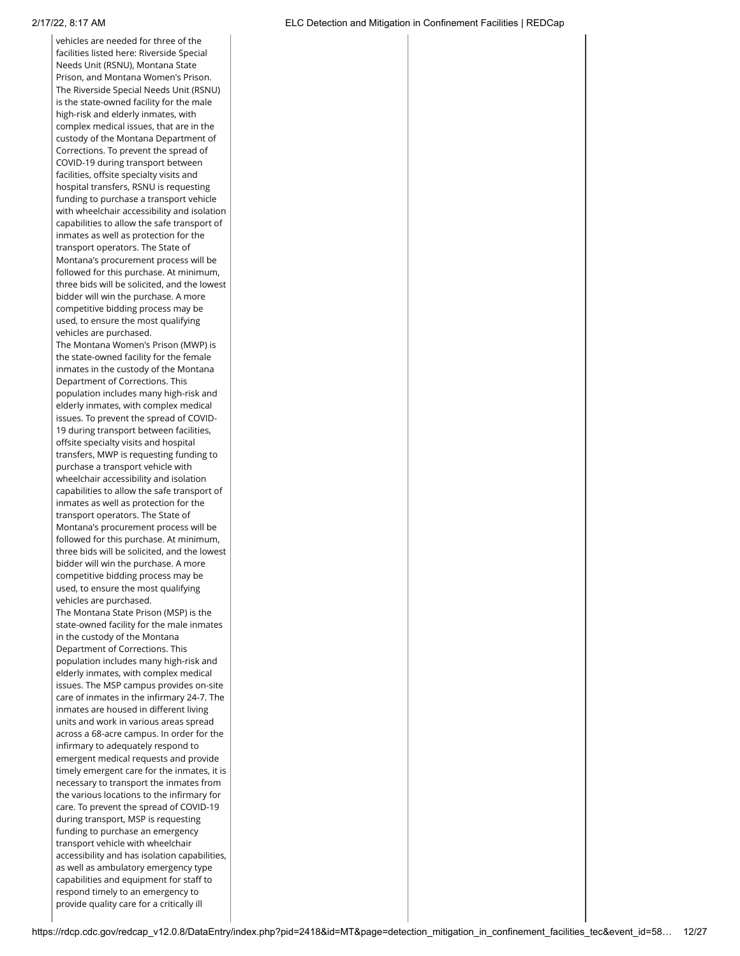vehicles are needed for three of the facilities listed here: Riverside Special Needs Unit (RSNU), Montana State Prison, and Montana Women's Prison. The Riverside Special Needs Unit (RSNU) is the state-owned facility for the male high-risk and elderly inmates, with complex medical issues, that are in the custody of the Montana Department of Corrections. To prevent the spread of COVID-19 during transport between facilities, offsite specialty visits and hospital transfers, RSNU is requesting funding to purchase a transport vehicle with wheelchair accessibility and isolation capabilities to allow the safe transport of inmates as well as protection for the transport operators. The State of Montana's procurement process will be followed for this purchase. At minimum, three bids will be solicited, and the lowest bidder will win the purchase. A more competitive bidding process may be used, to ensure the most qualifying vehicles are purchased.

The Montana Women's Prison (MWP) is the state-owned facility for the female inmates in the custody of the Montana Department of Corrections. This population includes many high-risk and elderly inmates, with complex medical issues. To prevent the spread of COVID-19 during transport between facilities, offsite specialty visits and hospital transfers, MWP is requesting funding to purchase a transport vehicle with wheelchair accessibility and isolation capabilities to allow the safe transport of inmates as well as protection for the transport operators. The State of Montana's procurement process will be followed for this purchase. At minimum, three bids will be solicited, and the lowest bidder will win the purchase. A more competitive bidding process may be used, to ensure the most qualifying vehicles are purchased. The Montana State Prison (MSP) is the state-owned facility for the male inmates in the custody of the Montana Department of Corrections. This population includes many high-risk and elderly inmates, with complex medical issues. The MSP campus provides on-site care of inmates in the infirmary 24-7. The inmates are housed in different living units and work in various areas spread across a 68-acre campus. In order for the infirmary to adequately respond to emergent medical requests and provide timely emergent care for the inmates, it is necessary to transport the inmates from the various locations to the infirmary for care. To prevent the spread of COVID-19 during transport, MSP is requesting funding to purchase an emergency transport vehicle with wheelchair accessibility and has isolation capabilities, as well as ambulatory emergency type capabilities and equipment for staff to respond timely to an emergency to provide quality care for a critically ill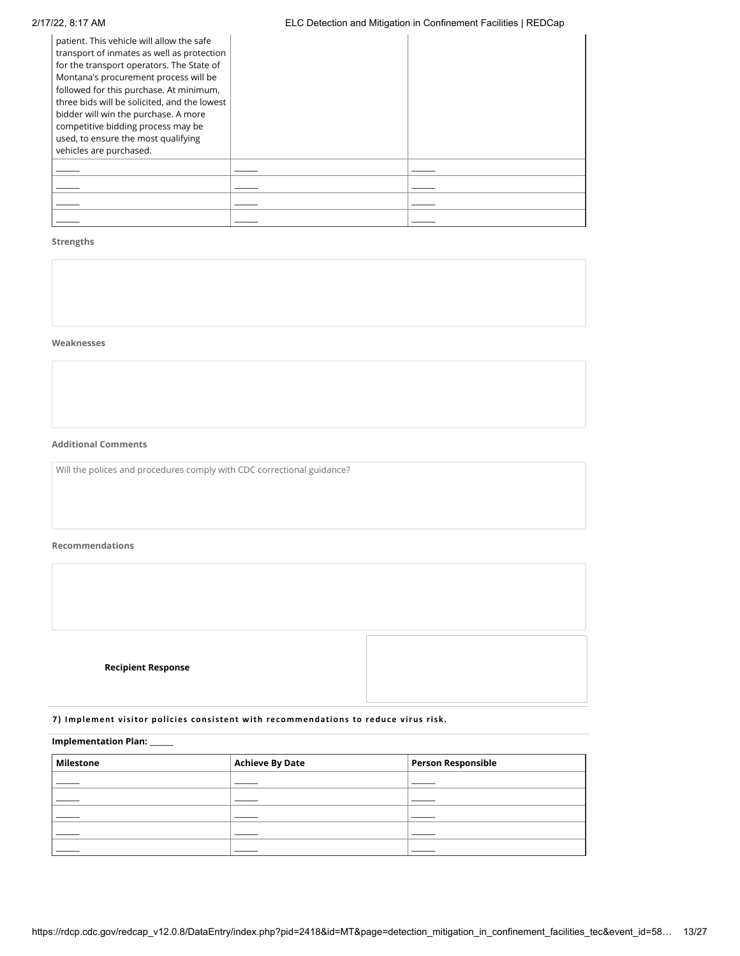# 2/17/22, 8:17 AM ELC Detection and Mitigation in Confinement Facilities | REDCap

| patient. This vehicle will allow the safe<br>transport of inmates as well as protection<br>for the transport operators. The State of<br>Montana's procurement process will be<br>followed for this purchase. At minimum,<br>three bids will be solicited, and the lowest<br>bidder will win the purchase. A more<br>competitive bidding process may be<br>used, to ensure the most qualifying<br>vehicles are purchased. |  |
|--------------------------------------------------------------------------------------------------------------------------------------------------------------------------------------------------------------------------------------------------------------------------------------------------------------------------------------------------------------------------------------------------------------------------|--|
|                                                                                                                                                                                                                                                                                                                                                                                                                          |  |
|                                                                                                                                                                                                                                                                                                                                                                                                                          |  |
|                                                                                                                                                                                                                                                                                                                                                                                                                          |  |
|                                                                                                                                                                                                                                                                                                                                                                                                                          |  |

# **Strengths**

#### **Weaknesses**

# **Additional Comments**

Will the polices and procedures comply with CDC correctional guidance?

# **Recommendations**

| <b>Recipient Response</b> |  |
|---------------------------|--|

# **7) Implement visitor poli c ies consistent with recommendations to reduce virus risk.**

### **Implementation Plan:** \_\_\_\_\_\_

| Milestone | Achieve By Date | Person Responsible |
|-----------|-----------------|--------------------|
|           |                 |                    |
|           |                 |                    |
|           |                 |                    |
|           |                 |                    |
|           |                 |                    |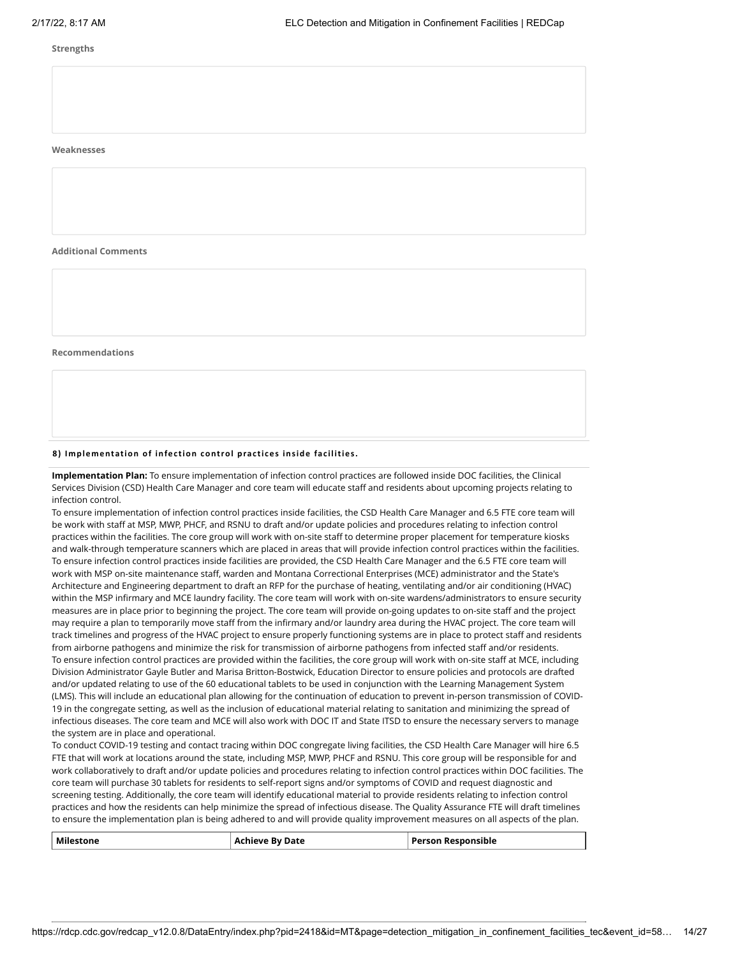#### **Weaknesses**

**Additional Comments**

**Recommendations**

#### **8) Implementation of infec tion control prac ti ces inside fac ilities.**

**Implementation Plan:** To ensure implementation of infection control practices are followed inside DOC facilities, the Clinical Services Division (CSD) Health Care Manager and core team will educate staff and residents about upcoming projects relating to infection control.

To ensure implementation of infection control practices inside facilities, the CSD Health Care Manager and 6.5 FTE core team will be work with staff at MSP, MWP, PHCF, and RSNU to draft and/or update policies and procedures relating to infection control practices within the facilities. The core group will work with on-site staff to determine proper placement for temperature kiosks and walk-through temperature scanners which are placed in areas that will provide infection control practices within the facilities. To ensure infection control practices inside facilities are provided, the CSD Health Care Manager and the 6.5 FTE core team will work with MSP on-site maintenance staff, warden and Montana Correctional Enterprises (MCE) administrator and the State's Architecture and Engineering department to draft an RFP for the purchase of heating, ventilating and/or air conditioning (HVAC) within the MSP infirmary and MCE laundry facility. The core team will work with on-site wardens/administrators to ensure security measures are in place prior to beginning the project. The core team will provide on-going updates to on-site staff and the project may require a plan to temporarily move staff from the infirmary and/or laundry area during the HVAC project. The core team will track timelines and progress of the HVAC project to ensure properly functioning systems are in place to protect staff and residents from airborne pathogens and minimize the risk for transmission of airborne pathogens from infected staff and/or residents. To ensure infection control practices are provided within the facilities, the core group will work with on-site staff at MCE, including Division Administrator Gayle Butler and Marisa Britton-Bostwick, Education Director to ensure policies and protocols are drafted and/or updated relating to use of the 60 educational tablets to be used in conjunction with the Learning Management System (LMS). This will include an educational plan allowing for the continuation of education to prevent in-person transmission of COVID-19 in the congregate setting, as well as the inclusion of educational material relating to sanitation and minimizing the spread of infectious diseases. The core team and MCE will also work with DOC IT and State ITSD to ensure the necessary servers to manage the system are in place and operational.

To conduct COVID-19 testing and contact tracing within DOC congregate living facilities, the CSD Health Care Manager will hire 6.5 FTE that will work at locations around the state, including MSP, MWP, PHCF and RSNU. This core group will be responsible for and work collaboratively to draft and/or update policies and procedures relating to infection control practices within DOC facilities. The core team will purchase 30 tablets for residents to self-report signs and/or symptoms of COVID and request diagnostic and screening testing. Additionally, the core team will identify educational material to provide residents relating to infection control practices and how the residents can help minimize the spread of infectious disease. The Quality Assurance FTE will draft timelines to ensure the implementation plan is being adhered to and will provide quality improvement measures on all aspects of the plan.

| Milestone | Achieve By Date | <b>Person Responsible</b> |
|-----------|-----------------|---------------------------|
|-----------|-----------------|---------------------------|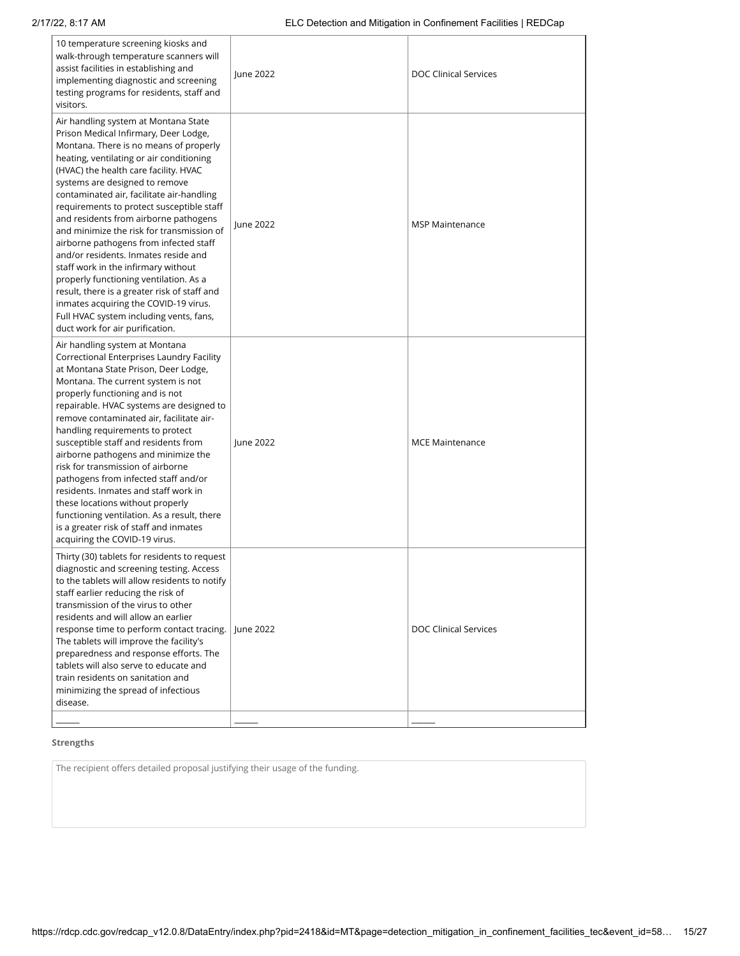| 10 temperature screening kiosks and<br>walk-through temperature scanners will<br>assist facilities in establishing and<br>implementing diagnostic and screening<br>testing programs for residents, staff and<br>visitors.                                                                                                                                                                                                                                                                                                                                                                                                                                                                                                                                                | June 2022 | <b>DOC Clinical Services</b> |
|--------------------------------------------------------------------------------------------------------------------------------------------------------------------------------------------------------------------------------------------------------------------------------------------------------------------------------------------------------------------------------------------------------------------------------------------------------------------------------------------------------------------------------------------------------------------------------------------------------------------------------------------------------------------------------------------------------------------------------------------------------------------------|-----------|------------------------------|
| Air handling system at Montana State<br>Prison Medical Infirmary, Deer Lodge,<br>Montana. There is no means of properly<br>heating, ventilating or air conditioning<br>(HVAC) the health care facility. HVAC<br>systems are designed to remove<br>contaminated air, facilitate air-handling<br>requirements to protect susceptible staff<br>and residents from airborne pathogens<br>and minimize the risk for transmission of<br>airborne pathogens from infected staff<br>and/or residents. Inmates reside and<br>staff work in the infirmary without<br>properly functioning ventilation. As a<br>result, there is a greater risk of staff and<br>inmates acquiring the COVID-19 virus.<br>Full HVAC system including vents, fans,<br>duct work for air purification. | June 2022 | <b>MSP Maintenance</b>       |
| Air handling system at Montana<br>Correctional Enterprises Laundry Facility<br>at Montana State Prison, Deer Lodge,<br>Montana. The current system is not<br>properly functioning and is not<br>repairable. HVAC systems are designed to<br>remove contaminated air, facilitate air-<br>handling requirements to protect<br>susceptible staff and residents from<br>airborne pathogens and minimize the<br>risk for transmission of airborne<br>pathogens from infected staff and/or<br>residents. Inmates and staff work in<br>these locations without properly<br>functioning ventilation. As a result, there<br>is a greater risk of staff and inmates<br>acquiring the COVID-19 virus.                                                                               | June 2022 | <b>MCE Maintenance</b>       |
| Thirty (30) tablets for residents to request<br>diagnostic and screening testing. Access<br>to the tablets will allow residents to notify<br>staff earlier reducing the risk of<br>transmission of the virus to other<br>residents and will allow an earlier<br>response time to perform contact tracing.<br>The tablets will improve the facility's<br>preparedness and response efforts. The<br>tablets will also serve to educate and<br>train residents on sanitation and<br>minimizing the spread of infectious<br>disease.                                                                                                                                                                                                                                         | June 2022 | <b>DOC Clinical Services</b> |
|                                                                                                                                                                                                                                                                                                                                                                                                                                                                                                                                                                                                                                                                                                                                                                          |           |                              |

The recipient offers detailed proposal justifying their usage of the funding.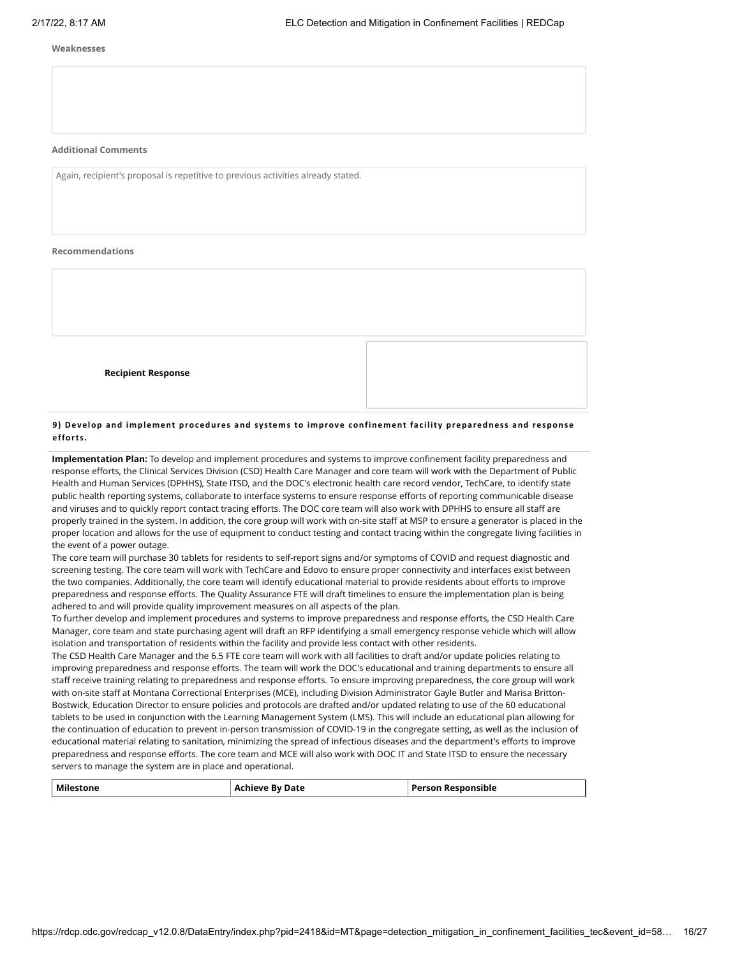#### **Weaknesses**

### **Additional Comments**

Again, recipient's proposal is repetitive to previous activities already stated.

#### **Recommendations**

| <b>Recipient Response</b> |  |
|---------------------------|--|
|                           |  |
|                           |  |
|                           |  |
|                           |  |
|                           |  |
|                           |  |
|                           |  |
|                           |  |
|                           |  |
|                           |  |
|                           |  |
|                           |  |
|                           |  |

# **9) Develop and implement procedures and systems to improve confinement fac ility preparedness and response efforts.**

**Implementation Plan:** To develop and implement procedures and systems to improve confinement facility preparedness and response efforts, the Clinical Services Division (CSD) Health Care Manager and core team will work with the Department of Public Health and Human Services (DPHHS), State ITSD, and the DOC's electronic health care record vendor, TechCare, to identify state public health reporting systems, collaborate to interface systems to ensure response efforts of reporting communicable disease and viruses and to quickly report contact tracing efforts. The DOC core team will also work with DPHHS to ensure all staff are properly trained in the system. In addition, the core group will work with on-site staff at MSP to ensure a generator is placed in the proper location and allows for the use of equipment to conduct testing and contact tracing within the congregate living facilities in the event of a power outage.

The core team will purchase 30 tablets for residents to self-report signs and/or symptoms of COVID and request diagnostic and screening testing. The core team will work with TechCare and Edovo to ensure proper connectivity and interfaces exist between the two companies. Additionally, the core team will identify educational material to provide residents about efforts to improve preparedness and response efforts. The Quality Assurance FTE will draft timelines to ensure the implementation plan is being adhered to and will provide quality improvement measures on all aspects of the plan.

To further develop and implement procedures and systems to improve preparedness and response efforts, the CSD Health Care Manager, core team and state purchasing agent will draft an RFP identifying a small emergency response vehicle which will allow isolation and transportation of residents within the facility and provide less contact with other residents.

The CSD Health Care Manager and the 6.5 FTE core team will work with all facilities to draft and/or update policies relating to improving preparedness and response efforts. The team will work the DOC's educational and training departments to ensure all staff receive training relating to preparedness and response efforts. To ensure improving preparedness, the core group will work with on-site staff at Montana Correctional Enterprises (MCE), including Division Administrator Gayle Butler and Marisa Britton-Bostwick, Education Director to ensure policies and protocols are drafted and/or updated relating to use of the 60 educational tablets to be used in conjunction with the Learning Management System (LMS). This will include an educational plan allowing for the continuation of education to prevent in-person transmission of COVID-19 in the congregate setting, as well as the inclusion of educational material relating to sanitation, minimizing the spread of infectious diseases and the department's efforts to improve preparedness and response efforts. The core team and MCE will also work with DOC IT and State ITSD to ensure the necessary servers to manage the system are in place and operational.

| <b>Milestone</b> | <b>Achieve By Date</b> | <b>Person Responsible</b> |
|------------------|------------------------|---------------------------|
|                  |                        |                           |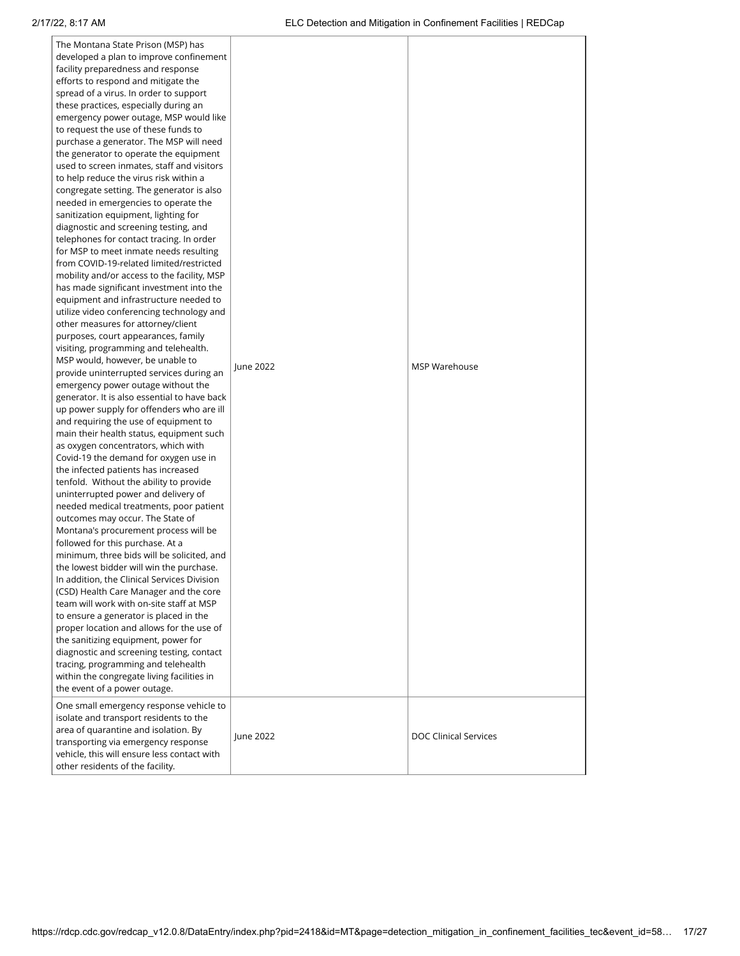| The Montana State Prison (MSP) has<br>developed a plan to improve confinement<br>facility preparedness and response<br>efforts to respond and mitigate the<br>spread of a virus. In order to support<br>these practices, especially during an<br>emergency power outage, MSP would like<br>to request the use of these funds to<br>purchase a generator. The MSP will need<br>the generator to operate the equipment<br>used to screen inmates, staff and visitors<br>to help reduce the virus risk within a<br>congregate setting. The generator is also<br>needed in emergencies to operate the<br>sanitization equipment, lighting for<br>diagnostic and screening testing, and<br>telephones for contact tracing. In order<br>for MSP to meet inmate needs resulting<br>from COVID-19-related limited/restricted<br>mobility and/or access to the facility, MSP<br>has made significant investment into the<br>equipment and infrastructure needed to<br>utilize video conferencing technology and<br>other measures for attorney/client<br>purposes, court appearances, family<br>visiting, programming and telehealth.<br>MSP would, however, be unable to<br>provide uninterrupted services during an<br>emergency power outage without the<br>generator. It is also essential to have back<br>up power supply for offenders who are ill<br>and requiring the use of equipment to<br>main their health status, equipment such<br>as oxygen concentrators, which with<br>Covid-19 the demand for oxygen use in<br>the infected patients has increased<br>tenfold. Without the ability to provide<br>uninterrupted power and delivery of<br>needed medical treatments, poor patient<br>outcomes may occur. The State of<br>Montana's procurement process will be<br>followed for this purchase. At a<br>minimum, three bids will be solicited, and<br>the lowest bidder will win the purchase.<br>In addition, the Clinical Services Division<br>(CSD) Health Care Manager and the core<br>team will work with on-site staff at MSP<br>to ensure a generator is placed in the<br>proper location and allows for the use of<br>the sanitizing equipment, power for<br>diagnostic and screening testing, contact<br>tracing, programming and telehealth<br>within the congregate living facilities in<br>the event of a power outage.<br>One small emergency response vehicle to | June 2022 | MSP Warehouse                |
|-------------------------------------------------------------------------------------------------------------------------------------------------------------------------------------------------------------------------------------------------------------------------------------------------------------------------------------------------------------------------------------------------------------------------------------------------------------------------------------------------------------------------------------------------------------------------------------------------------------------------------------------------------------------------------------------------------------------------------------------------------------------------------------------------------------------------------------------------------------------------------------------------------------------------------------------------------------------------------------------------------------------------------------------------------------------------------------------------------------------------------------------------------------------------------------------------------------------------------------------------------------------------------------------------------------------------------------------------------------------------------------------------------------------------------------------------------------------------------------------------------------------------------------------------------------------------------------------------------------------------------------------------------------------------------------------------------------------------------------------------------------------------------------------------------------------------------------------------------------------------------------------------------------------------------------------------------------------------------------------------------------------------------------------------------------------------------------------------------------------------------------------------------------------------------------------------------------------------------------------------------------------------------------------------------------------------------------------------------------------------------------|-----------|------------------------------|
| isolate and transport residents to the<br>area of quarantine and isolation. By<br>transporting via emergency response<br>vehicle, this will ensure less contact with<br>other residents of the facility.                                                                                                                                                                                                                                                                                                                                                                                                                                                                                                                                                                                                                                                                                                                                                                                                                                                                                                                                                                                                                                                                                                                                                                                                                                                                                                                                                                                                                                                                                                                                                                                                                                                                                                                                                                                                                                                                                                                                                                                                                                                                                                                                                                            | June 2022 | <b>DOC Clinical Services</b> |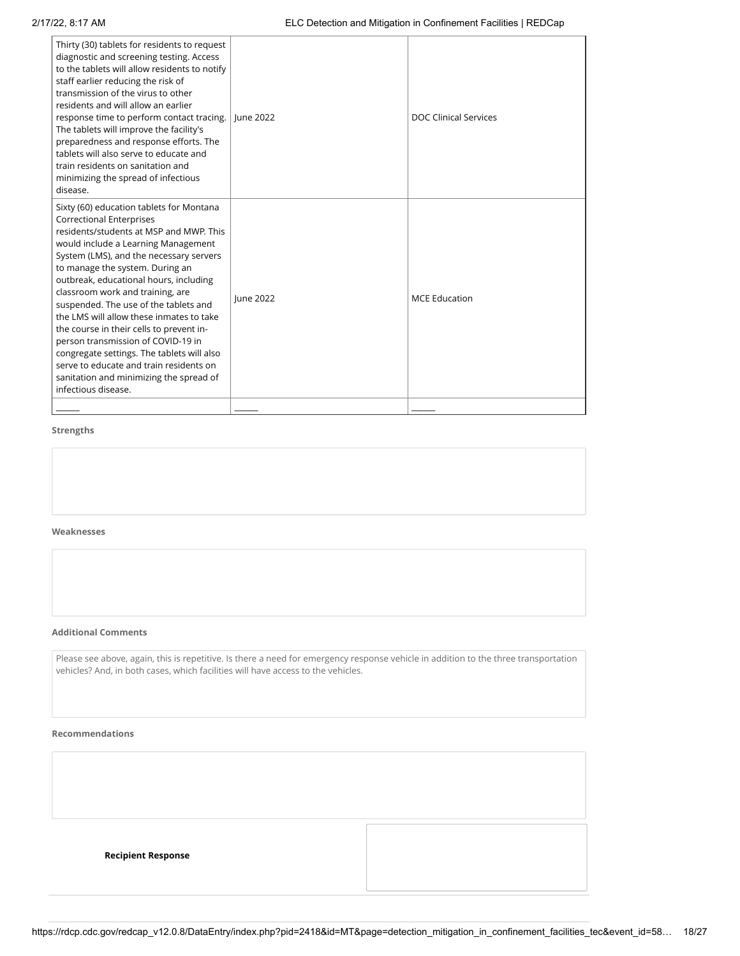| Thirty (30) tablets for residents to request<br>diagnostic and screening testing. Access<br>to the tablets will allow residents to notify<br>staff earlier reducing the risk of<br>transmission of the virus to other<br>residents and will allow an earlier<br>response time to perform contact tracing.<br>June 2022<br><b>DOC Clinical Services</b><br>The tablets will improve the facility's<br>preparedness and response efforts. The<br>tablets will also serve to educate and<br>train residents on sanitation and<br>minimizing the spread of infectious<br>disease.<br>Sixty (60) education tablets for Montana<br><b>Correctional Enterprises</b><br>residents/students at MSP and MWP. This<br>would include a Learning Management<br>System (LMS), and the necessary servers<br>to manage the system. During an<br>outbreak, educational hours, including<br>classroom work and training, are<br>lune 2022<br><b>MCE Education</b><br>suspended. The use of the tablets and<br>the LMS will allow these inmates to take<br>the course in their cells to prevent in-<br>person transmission of COVID-19 in<br>congregate settings. The tablets will also<br>serve to educate and train residents on<br>sanitation and minimizing the spread of<br>infectious disease. |  |  |
|-----------------------------------------------------------------------------------------------------------------------------------------------------------------------------------------------------------------------------------------------------------------------------------------------------------------------------------------------------------------------------------------------------------------------------------------------------------------------------------------------------------------------------------------------------------------------------------------------------------------------------------------------------------------------------------------------------------------------------------------------------------------------------------------------------------------------------------------------------------------------------------------------------------------------------------------------------------------------------------------------------------------------------------------------------------------------------------------------------------------------------------------------------------------------------------------------------------------------------------------------------------------------------------|--|--|
|                                                                                                                                                                                                                                                                                                                                                                                                                                                                                                                                                                                                                                                                                                                                                                                                                                                                                                                                                                                                                                                                                                                                                                                                                                                                                   |  |  |
|                                                                                                                                                                                                                                                                                                                                                                                                                                                                                                                                                                                                                                                                                                                                                                                                                                                                                                                                                                                                                                                                                                                                                                                                                                                                                   |  |  |

#### **Weaknesses**

#### **Additional Comments**

Please see above, again, this is repetitive. Is there a need for emergency response vehicle in addition to the three transportation vehicles? And, in both cases, which facilities will have access to the vehicles.

#### **Recommendations**

| <b>Recipient Response</b> |  |
|---------------------------|--|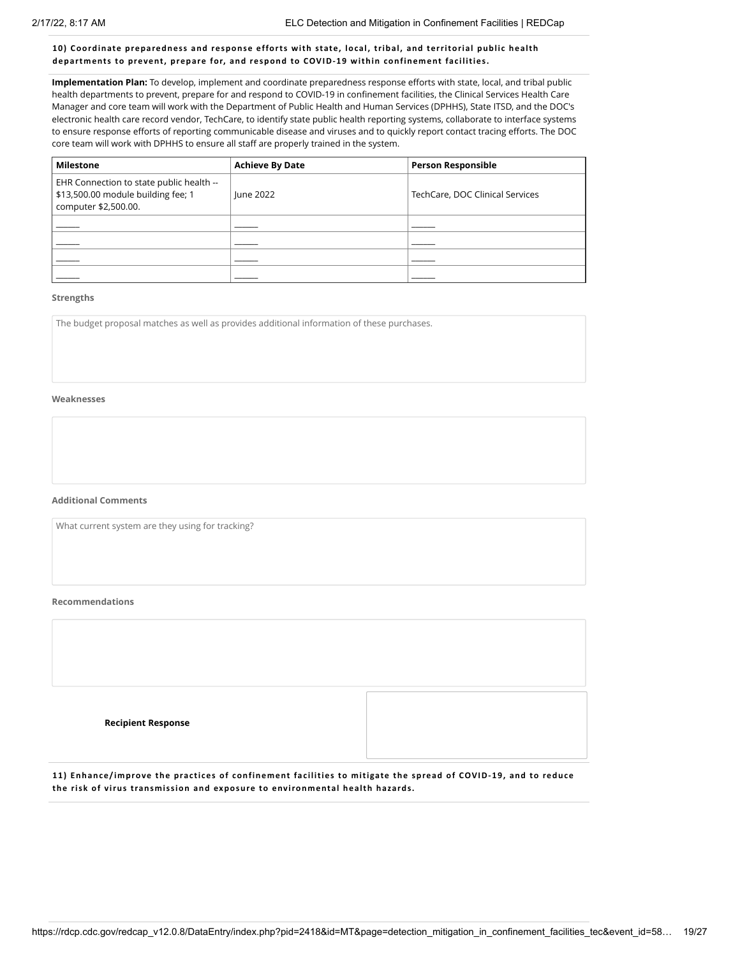### **10) Coordinate preparedness and response efforts with state, local, tribal, and territorial publi c health departments to prevent, prepare for, and respond to COVID-19 within confinement fac ilities.**

**Implementation Plan:** To develop, implement and coordinate preparedness response efforts with state, local, and tribal public health departments to prevent, prepare for and respond to COVID-19 in confinement facilities, the Clinical Services Health Care Manager and core team will work with the Department of Public Health and Human Services (DPHHS), State ITSD, and the DOC's electronic health care record vendor, TechCare, to identify state public health reporting systems, collaborate to interface systems to ensure response efforts of reporting communicable disease and viruses and to quickly report contact tracing efforts. The DOC core team will work with DPHHS to ensure all staff are properly trained in the system.

| <b>Milestone</b>                                                                                       | <b>Achieve By Date</b> | <b>Person Responsible</b>       |
|--------------------------------------------------------------------------------------------------------|------------------------|---------------------------------|
| EHR Connection to state public health --<br>\$13,500.00 module building fee; 1<br>computer \$2,500.00. | June 2022              | TechCare, DOC Clinical Services |
|                                                                                                        |                        |                                 |
|                                                                                                        |                        |                                 |
|                                                                                                        |                        |                                 |
|                                                                                                        |                        |                                 |

#### **Strengths**

The budget proposal matches as well as provides additional information of these purchases.

# **Weaknesses**

#### **Additional Comments**

What current system are they using for tracking?

#### **Recommendations**

| <b>Recipient Response</b> |  |
|---------------------------|--|
|                           |  |

11) Enhance/improve the practices of confinement facilities to mitigate the spread of COVID-19, and to reduce **the risk of virus transmission and exposure to environmental health hazards.**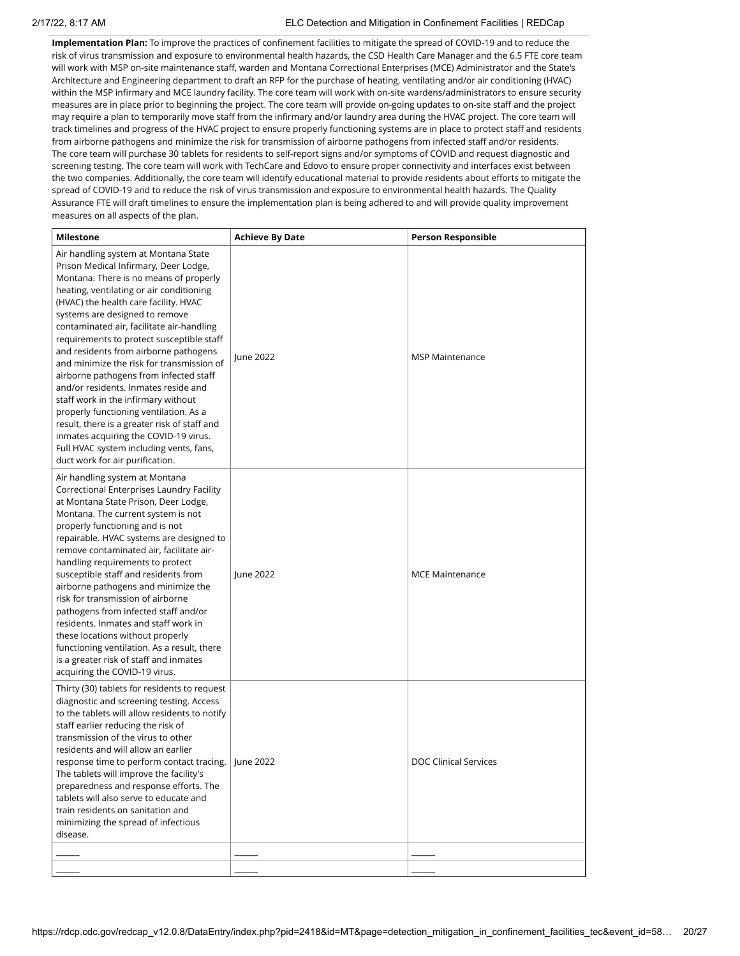**Implementation Plan:** To improve the practices of confinement facilities to mitigate the spread of COVID-19 and to reduce the risk of virus transmission and exposure to environmental health hazards, the CSD Health Care Manager and the 6.5 FTE core team will work with MSP on-site maintenance staff, warden and Montana Correctional Enterprises (MCE) Administrator and the State's Architecture and Engineering department to draft an RFP for the purchase of heating, ventilating and/or air conditioning (HVAC) within the MSP infirmary and MCE laundry facility. The core team will work with on-site wardens/administrators to ensure security measures are in place prior to beginning the project. The core team will provide on-going updates to on-site staff and the project may require a plan to temporarily move staff from the infirmary and/or laundry area during the HVAC project. The core team will track timelines and progress of the HVAC project to ensure properly functioning systems are in place to protect staff and residents from airborne pathogens and minimize the risk for transmission of airborne pathogens from infected staff and/or residents. The core team will purchase 30 tablets for residents to self-report signs and/or symptoms of COVID and request diagnostic and screening testing. The core team will work with TechCare and Edovo to ensure proper connectivity and interfaces exist between the two companies. Additionally, the core team will identify educational material to provide residents about efforts to mitigate the spread of COVID-19 and to reduce the risk of virus transmission and exposure to environmental health hazards. The Quality Assurance FTE will draft timelines to ensure the implementation plan is being adhered to and will provide quality improvement measures on all aspects of the plan.

| Milestone                                                                                                                                                                                                                                                                                                                                                                                                                                                                                                                                                                                                                                                                                                                                                                | <b>Achieve By Date</b> | <b>Person Responsible</b>    |
|--------------------------------------------------------------------------------------------------------------------------------------------------------------------------------------------------------------------------------------------------------------------------------------------------------------------------------------------------------------------------------------------------------------------------------------------------------------------------------------------------------------------------------------------------------------------------------------------------------------------------------------------------------------------------------------------------------------------------------------------------------------------------|------------------------|------------------------------|
| Air handling system at Montana State<br>Prison Medical Infirmary, Deer Lodge,<br>Montana. There is no means of properly<br>heating, ventilating or air conditioning<br>(HVAC) the health care facility. HVAC<br>systems are designed to remove<br>contaminated air, facilitate air-handling<br>requirements to protect susceptible staff<br>and residents from airborne pathogens<br>and minimize the risk for transmission of<br>airborne pathogens from infected staff<br>and/or residents. Inmates reside and<br>staff work in the infirmary without<br>properly functioning ventilation. As a<br>result, there is a greater risk of staff and<br>inmates acquiring the COVID-19 virus.<br>Full HVAC system including vents, fans,<br>duct work for air purification. | June 2022              | <b>MSP Maintenance</b>       |
| Air handling system at Montana<br>Correctional Enterprises Laundry Facility<br>at Montana State Prison, Deer Lodge,<br>Montana. The current system is not<br>properly functioning and is not<br>repairable. HVAC systems are designed to<br>remove contaminated air, facilitate air-<br>handling requirements to protect<br>susceptible staff and residents from<br>airborne pathogens and minimize the<br>risk for transmission of airborne<br>pathogens from infected staff and/or<br>residents. Inmates and staff work in<br>these locations without properly<br>functioning ventilation. As a result, there<br>is a greater risk of staff and inmates<br>acquiring the COVID-19 virus.                                                                               | June 2022              | <b>MCE Maintenance</b>       |
| Thirty (30) tablets for residents to request<br>diagnostic and screening testing. Access<br>to the tablets will allow residents to notify<br>staff earlier reducing the risk of<br>transmission of the virus to other<br>residents and will allow an earlier<br>response time to perform contact tracing.   June 2022<br>The tablets will improve the facility's<br>preparedness and response efforts. The<br>tablets will also serve to educate and<br>train residents on sanitation and<br>minimizing the spread of infectious<br>disease.                                                                                                                                                                                                                             |                        | <b>DOC Clinical Services</b> |
|                                                                                                                                                                                                                                                                                                                                                                                                                                                                                                                                                                                                                                                                                                                                                                          |                        |                              |
|                                                                                                                                                                                                                                                                                                                                                                                                                                                                                                                                                                                                                                                                                                                                                                          |                        |                              |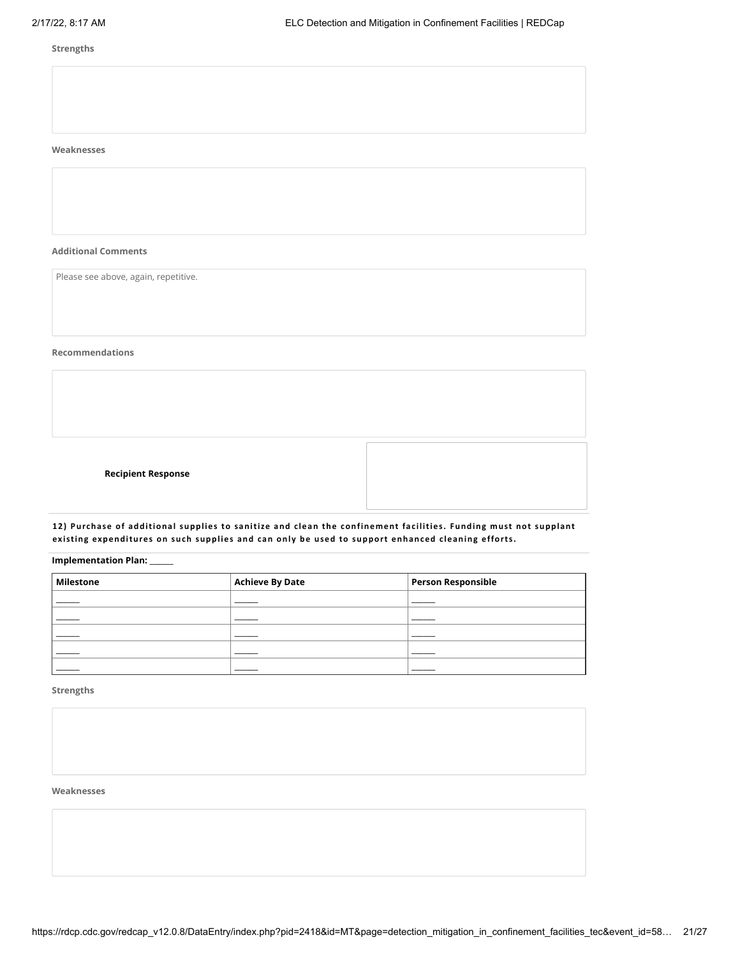# **Weaknesses**

**Additional Comments**

Please see above, again, repetitive.

# **Recommendations**

**Recipient Response**



12) Purchase of additional supplies to sanitize and clean the confinement facilities. Funding must not supplant **existing expenditures on such supplies and can only be used to support enhanced c leaning efforts.**

**Implementation Plan:** \_\_\_\_\_\_

| <b>Milestone</b> | <b>Achieve By Date</b> | <b>Person Responsible</b> |
|------------------|------------------------|---------------------------|
|                  |                        |                           |
|                  |                        |                           |
|                  |                        |                           |
|                  |                        |                           |
|                  |                        |                           |

# **Strengths**

# **Weaknesses**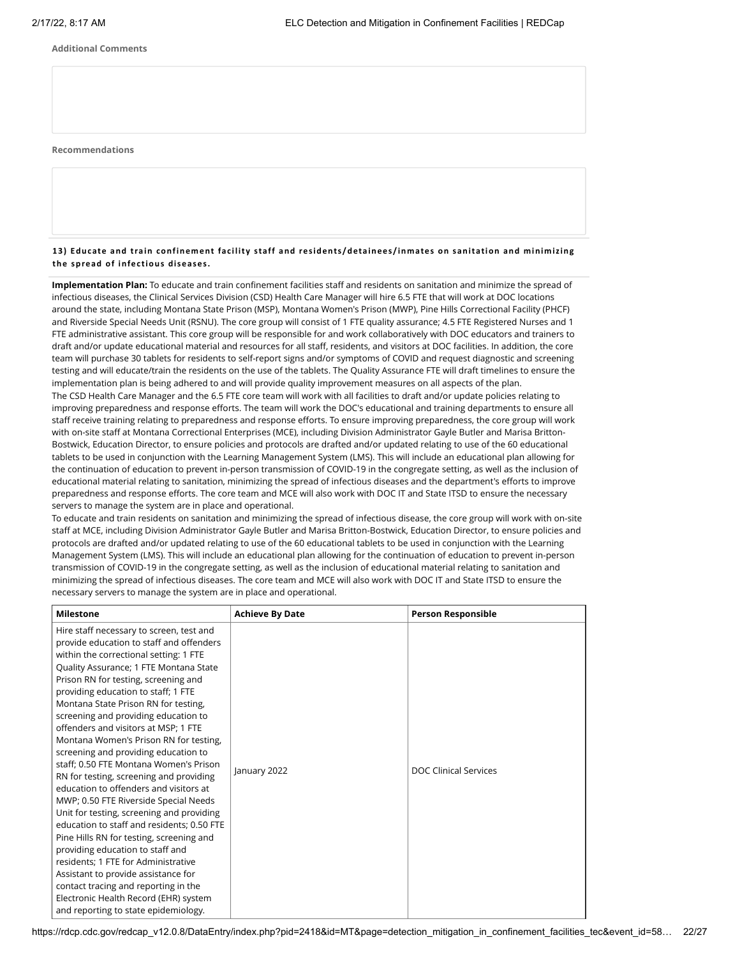#### **Additional Comments**

#### **Recommendations**

# 13) Educate and train confinement facility staff and residents/detainees/inmates on sanitation and minimizing **the spread of infec tious diseases.**

**Implementation Plan:** To educate and train confinement facilities staff and residents on sanitation and minimize the spread of infectious diseases, the Clinical Services Division (CSD) Health Care Manager will hire 6.5 FTE that will work at DOC locations around the state, including Montana State Prison (MSP), Montana Women's Prison (MWP), Pine Hills Correctional Facility (PHCF) and Riverside Special Needs Unit (RSNU). The core group will consist of 1 FTE quality assurance; 4.5 FTE Registered Nurses and 1 FTE administrative assistant. This core group will be responsible for and work collaboratively with DOC educators and trainers to draft and/or update educational material and resources for all staff, residents, and visitors at DOC facilities. In addition, the core team will purchase 30 tablets for residents to self-report signs and/or symptoms of COVID and request diagnostic and screening testing and will educate/train the residents on the use of the tablets. The Quality Assurance FTE will draft timelines to ensure the implementation plan is being adhered to and will provide quality improvement measures on all aspects of the plan. The CSD Health Care Manager and the 6.5 FTE core team will work with all facilities to draft and/or update policies relating to improving preparedness and response efforts. The team will work the DOC's educational and training departments to ensure all staff receive training relating to preparedness and response efforts. To ensure improving preparedness, the core group will work with on-site staff at Montana Correctional Enterprises (MCE), including Division Administrator Gayle Butler and Marisa Britton-Bostwick, Education Director, to ensure policies and protocols are drafted and/or updated relating to use of the 60 educational tablets to be used in conjunction with the Learning Management System (LMS). This will include an educational plan allowing for the continuation of education to prevent in-person transmission of COVID-19 in the congregate setting, as well as the inclusion of educational material relating to sanitation, minimizing the spread of infectious diseases and the department's efforts to improve preparedness and response efforts. The core team and MCE will also work with DOC IT and State ITSD to ensure the necessary servers to manage the system are in place and operational.

To educate and train residents on sanitation and minimizing the spread of infectious disease, the core group will work with on-site staff at MCE, including Division Administrator Gayle Butler and Marisa Britton-Bostwick, Education Director, to ensure policies and protocols are drafted and/or updated relating to use of the 60 educational tablets to be used in conjunction with the Learning Management System (LMS). This will include an educational plan allowing for the continuation of education to prevent in-person transmission of COVID-19 in the congregate setting, as well as the inclusion of educational material relating to sanitation and minimizing the spread of infectious diseases. The core team and MCE will also work with DOC IT and State ITSD to ensure the necessary servers to manage the system are in place and operational.

| <b>Milestone</b>                                                                                                                                                                                                                                                                                                                                                                                                                                                                                                                                                                                                                                                                                                                                                                                                                                                                                                                                                                                                            | <b>Achieve By Date</b> | <b>Person Responsible</b> |
|-----------------------------------------------------------------------------------------------------------------------------------------------------------------------------------------------------------------------------------------------------------------------------------------------------------------------------------------------------------------------------------------------------------------------------------------------------------------------------------------------------------------------------------------------------------------------------------------------------------------------------------------------------------------------------------------------------------------------------------------------------------------------------------------------------------------------------------------------------------------------------------------------------------------------------------------------------------------------------------------------------------------------------|------------------------|---------------------------|
| Hire staff necessary to screen, test and<br>provide education to staff and offenders<br>within the correctional setting: 1 FTE<br>Quality Assurance; 1 FTE Montana State<br>Prison RN for testing, screening and<br>providing education to staff; 1 FTE<br>Montana State Prison RN for testing,<br>screening and providing education to<br>offenders and visitors at MSP; 1 FTE<br>Montana Women's Prison RN for testing,<br>screening and providing education to<br>staff; 0.50 FTE Montana Women's Prison<br>RN for testing, screening and providing<br>education to offenders and visitors at<br>MWP; 0.50 FTE Riverside Special Needs<br>Unit for testing, screening and providing<br>education to staff and residents; 0.50 FTE<br>Pine Hills RN for testing, screening and<br>providing education to staff and<br>residents; 1 FTE for Administrative<br>Assistant to provide assistance for<br>contact tracing and reporting in the<br>Electronic Health Record (EHR) system<br>and reporting to state epidemiology. | January 2022           | DOC Clinical Services     |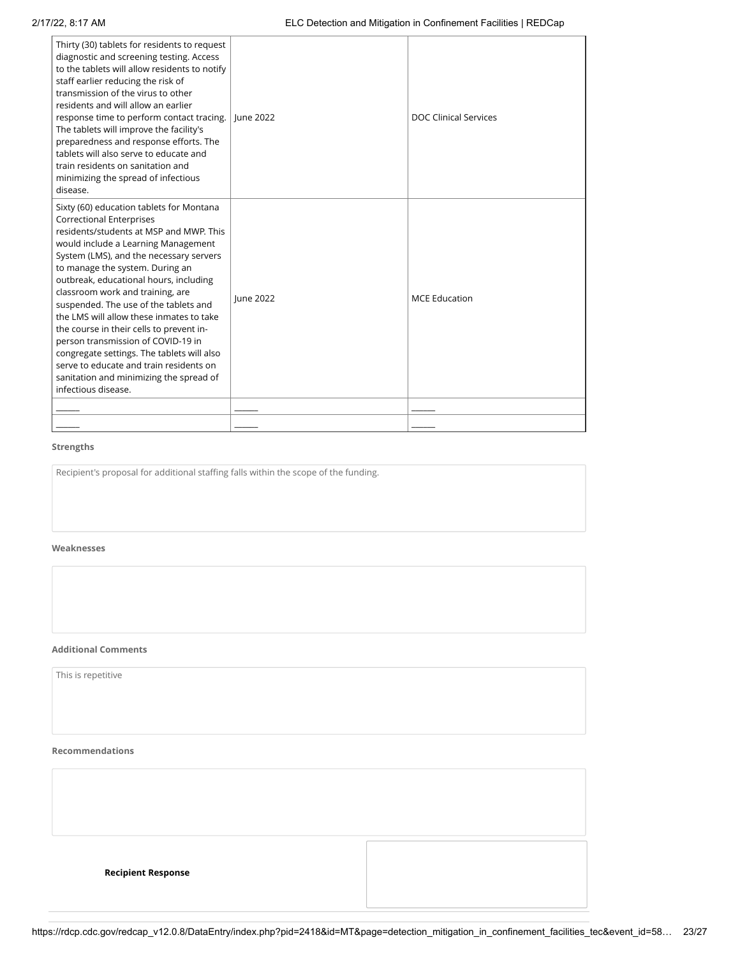| Thirty (30) tablets for residents to request<br>diagnostic and screening testing. Access<br>to the tablets will allow residents to notify<br>staff earlier reducing the risk of<br>transmission of the virus to other<br>residents and will allow an earlier<br>response time to perform contact tracing.<br>The tablets will improve the facility's<br>preparedness and response efforts. The<br>tablets will also serve to educate and<br>train residents on sanitation and<br>minimizing the spread of infectious<br>disease.                                                                                                                            | <b>lune 2022</b> | <b>DOC Clinical Services</b> |
|-------------------------------------------------------------------------------------------------------------------------------------------------------------------------------------------------------------------------------------------------------------------------------------------------------------------------------------------------------------------------------------------------------------------------------------------------------------------------------------------------------------------------------------------------------------------------------------------------------------------------------------------------------------|------------------|------------------------------|
| Sixty (60) education tablets for Montana<br><b>Correctional Enterprises</b><br>residents/students at MSP and MWP. This<br>would include a Learning Management<br>System (LMS), and the necessary servers<br>to manage the system. During an<br>outbreak, educational hours, including<br>classroom work and training, are<br>suspended. The use of the tablets and<br>the LMS will allow these inmates to take<br>the course in their cells to prevent in-<br>person transmission of COVID-19 in<br>congregate settings. The tablets will also<br>serve to educate and train residents on<br>sanitation and minimizing the spread of<br>infectious disease. | <b>lune 2022</b> | <b>MCE Education</b>         |
|                                                                                                                                                                                                                                                                                                                                                                                                                                                                                                                                                                                                                                                             |                  |                              |
|                                                                                                                                                                                                                                                                                                                                                                                                                                                                                                                                                                                                                                                             |                  |                              |

# **Weaknesses**

### **Additional Comments**

# **Recommendations**

| Recipient's proposal for additional staffing falls within the scope of the funding. |  |
|-------------------------------------------------------------------------------------|--|
|                                                                                     |  |
|                                                                                     |  |
| Veaknesses                                                                          |  |
|                                                                                     |  |
|                                                                                     |  |
|                                                                                     |  |
| dditional Comments                                                                  |  |
| This is repetitive                                                                  |  |
|                                                                                     |  |
|                                                                                     |  |
| <b>Recommendations</b>                                                              |  |
|                                                                                     |  |
|                                                                                     |  |
|                                                                                     |  |
|                                                                                     |  |
| <b>Recipient Response</b>                                                           |  |
|                                                                                     |  |
|                                                                                     |  |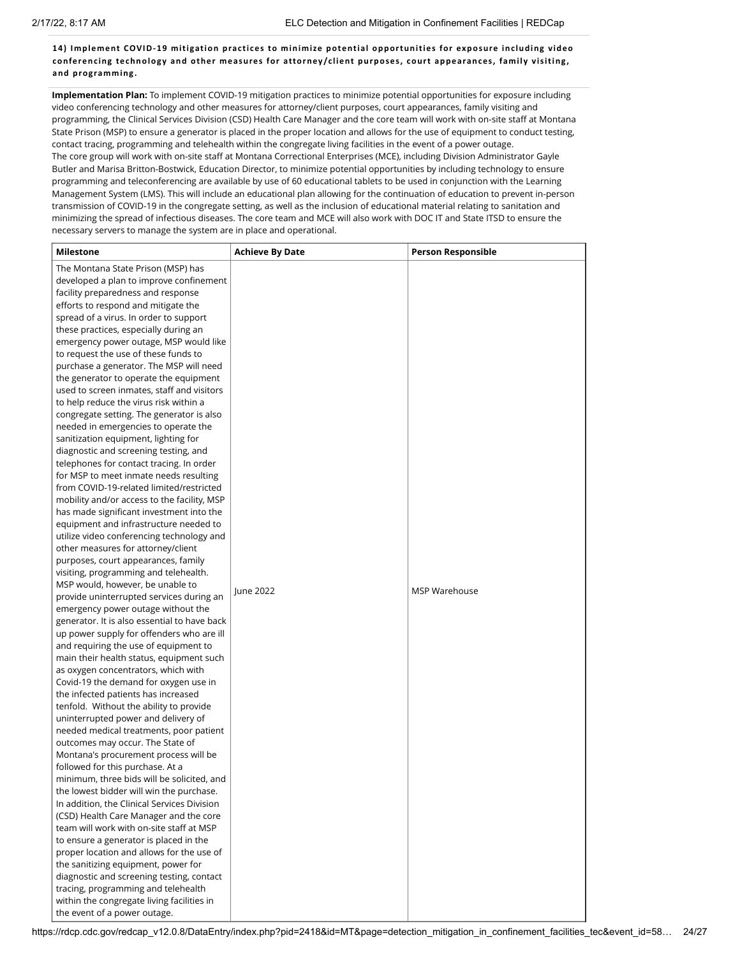**14) Implement COVID-19 mitigation prac ti ces to minimize potential opportunities for exposure inc luding video conferenc ing technology and other measures for attorney/c lient purposes, court appearances, family visiting , and programming.**

**Implementation Plan:** To implement COVID-19 mitigation practices to minimize potential opportunities for exposure including video conferencing technology and other measures for attorney/client purposes, court appearances, family visiting and programming, the Clinical Services Division (CSD) Health Care Manager and the core team will work with on-site staff at Montana State Prison (MSP) to ensure a generator is placed in the proper location and allows for the use of equipment to conduct testing, contact tracing, programming and telehealth within the congregate living facilities in the event of a power outage. The core group will work with on-site staff at Montana Correctional Enterprises (MCE), including Division Administrator Gayle Butler and Marisa Britton-Bostwick, Education Director, to minimize potential opportunities by including technology to ensure programming and teleconferencing are available by use of 60 educational tablets to be used in conjunction with the Learning Management System (LMS). This will include an educational plan allowing for the continuation of education to prevent in-person transmission of COVID-19 in the congregate setting, as well as the inclusion of educational material relating to sanitation and minimizing the spread of infectious diseases. The core team and MCE will also work with DOC IT and State ITSD to ensure the necessary servers to manage the system are in place and operational.

| <b>Milestone</b>                                                               | <b>Achieve By Date</b> | <b>Person Responsible</b> |
|--------------------------------------------------------------------------------|------------------------|---------------------------|
| The Montana State Prison (MSP) has                                             |                        |                           |
| developed a plan to improve confinement                                        |                        |                           |
| facility preparedness and response                                             |                        |                           |
| efforts to respond and mitigate the                                            |                        |                           |
| spread of a virus. In order to support                                         |                        |                           |
| these practices, especially during an                                          |                        |                           |
| emergency power outage, MSP would like                                         |                        |                           |
| to request the use of these funds to                                           |                        |                           |
| purchase a generator. The MSP will need                                        |                        |                           |
| the generator to operate the equipment                                         |                        |                           |
| used to screen inmates, staff and visitors                                     |                        |                           |
| to help reduce the virus risk within a                                         |                        |                           |
| congregate setting. The generator is also                                      |                        |                           |
| needed in emergencies to operate the                                           |                        |                           |
| sanitization equipment, lighting for                                           |                        |                           |
| diagnostic and screening testing, and                                          |                        |                           |
| telephones for contact tracing. In order                                       |                        |                           |
| for MSP to meet inmate needs resulting                                         |                        |                           |
| from COVID-19-related limited/restricted                                       |                        |                           |
| mobility and/or access to the facility, MSP                                    |                        |                           |
| has made significant investment into the                                       |                        |                           |
| equipment and infrastructure needed to                                         |                        |                           |
| utilize video conferencing technology and                                      |                        |                           |
| other measures for attorney/client                                             |                        |                           |
| purposes, court appearances, family                                            |                        |                           |
| visiting, programming and telehealth.                                          |                        |                           |
| MSP would, however, be unable to                                               | June 2022              | <b>MSP Warehouse</b>      |
| provide uninterrupted services during an                                       |                        |                           |
| emergency power outage without the                                             |                        |                           |
| generator. It is also essential to have back                                   |                        |                           |
| up power supply for offenders who are ill                                      |                        |                           |
| and requiring the use of equipment to                                          |                        |                           |
| main their health status, equipment such                                       |                        |                           |
| as oxygen concentrators, which with                                            |                        |                           |
| Covid-19 the demand for oxygen use in                                          |                        |                           |
| the infected patients has increased                                            |                        |                           |
| tenfold. Without the ability to provide                                        |                        |                           |
| uninterrupted power and delivery of<br>needed medical treatments, poor patient |                        |                           |
| outcomes may occur. The State of                                               |                        |                           |
| Montana's procurement process will be                                          |                        |                           |
| followed for this purchase. At a                                               |                        |                           |
| minimum, three bids will be solicited, and                                     |                        |                           |
| the lowest bidder will win the purchase.                                       |                        |                           |
| In addition, the Clinical Services Division                                    |                        |                           |
| (CSD) Health Care Manager and the core                                         |                        |                           |
| team will work with on-site staff at MSP                                       |                        |                           |
| to ensure a generator is placed in the                                         |                        |                           |
| proper location and allows for the use of                                      |                        |                           |
| the sanitizing equipment, power for                                            |                        |                           |
| diagnostic and screening testing, contact                                      |                        |                           |
| tracing, programming and telehealth                                            |                        |                           |
| within the congregate living facilities in                                     |                        |                           |
| the event of a power outage.                                                   |                        |                           |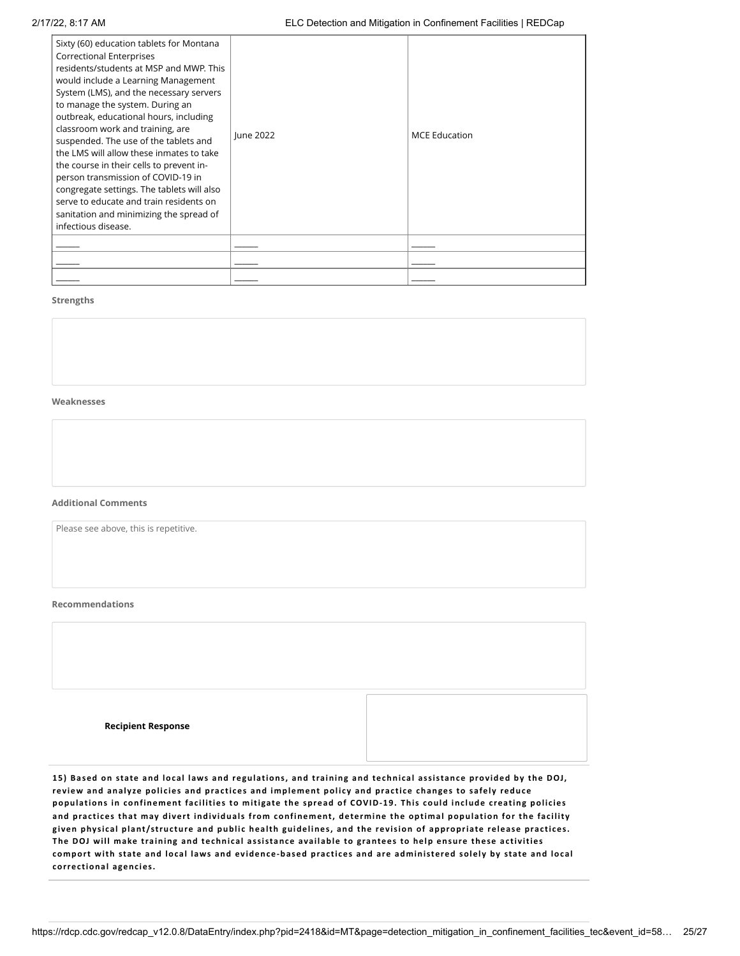| Sixty (60) education tablets for Montana<br>Correctional Enterprises<br>residents/students at MSP and MWP. This<br>would include a Learning Management<br>System (LMS), and the necessary servers<br>to manage the system. During an<br>outbreak, educational hours, including<br>classroom work and training, are<br>suspended. The use of the tablets and<br>the LMS will allow these inmates to take<br>the course in their cells to prevent in-<br>person transmission of COVID-19 in<br>congregate settings. The tablets will also<br>serve to educate and train residents on<br>sanitation and minimizing the spread of<br>infectious disease. | June 2022 | <b>MCE Education</b> |
|------------------------------------------------------------------------------------------------------------------------------------------------------------------------------------------------------------------------------------------------------------------------------------------------------------------------------------------------------------------------------------------------------------------------------------------------------------------------------------------------------------------------------------------------------------------------------------------------------------------------------------------------------|-----------|----------------------|
|                                                                                                                                                                                                                                                                                                                                                                                                                                                                                                                                                                                                                                                      |           |                      |
|                                                                                                                                                                                                                                                                                                                                                                                                                                                                                                                                                                                                                                                      |           |                      |
|                                                                                                                                                                                                                                                                                                                                                                                                                                                                                                                                                                                                                                                      |           |                      |

# **Weaknesses**

#### **Additional Comments**

Please see above, this is repetitive.

#### **Recommendations**

| <b>Recipient Response</b> |  |
|---------------------------|--|

15) Based on state and local laws and regulations, and training and technical assistance provided by the DOJ, review and analyze policies and practices and implement policy and practice changes to safely reduce populations in confinement facilities to mitigate the spread of COVID-19. This could include creating policies and practices that may divert individuals from confinement, determine the optimal population for the facility given physical plant/structure and public health guidelines, and the revision of appropriate release practices. The DOJ will make training and technical assistance available to grantees to help ensure these activities comport with state and local laws and evidence-based practices and are administered solely by state and local **correc tional agenc ies.**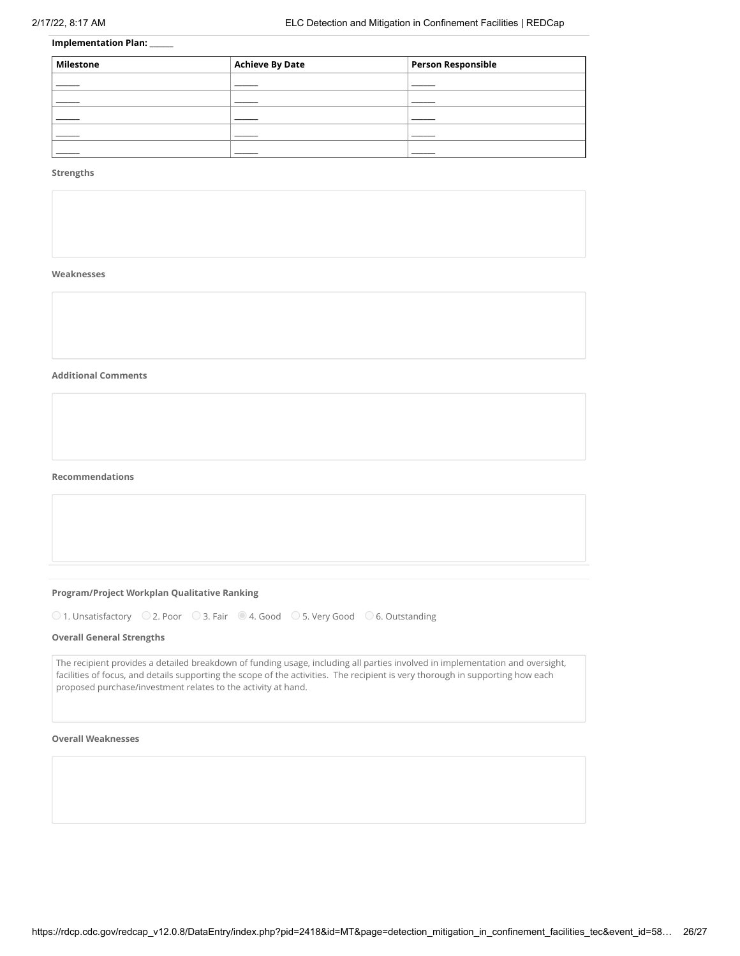# **Implementation Plan:** \_\_\_\_\_\_

| Milestone | <b>Achieve By Date</b> | <b>Person Responsible</b> |
|-----------|------------------------|---------------------------|
|           |                        |                           |
|           |                        |                           |
|           |                        |                           |
|           |                        |                           |
|           |                        |                           |

# **Strengths**

#### **Weaknesses**

#### **Additional Comments**

**Recommendations**

### **Program/Project Workplan Qualitative Ranking**

 $\bigcirc$  1. Unsatisfactory  $\bigcirc$  2. Poor  $\bigcirc$  3. Fair  $\bigcirc$  4. Good  $\bigcirc$  5. Very Good  $\bigcirc$  6. Outstanding

### **Overall General Strengths**

The recipient provides a detailed breakdown of funding usage, including all parties involved in implementation and oversight, facilities of focus, and details supporting the scope of the activities. The recipient is very thorough in supporting how each proposed purchase/investment relates to the activity at hand.

# **Overall Weaknesses**